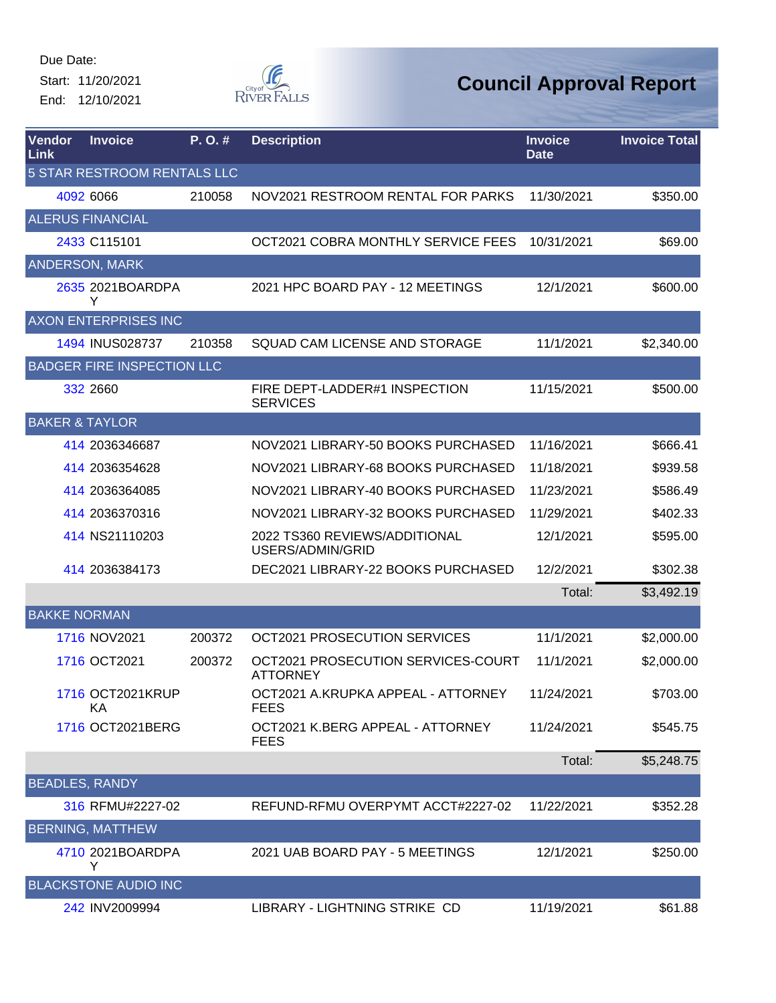Start: 11/20/2021 End: 12/10/2021



| Vendor<br>Link            | <b>Invoice</b>                    | P.O.#  | <b>Description</b>                                    | <b>Invoice</b><br><b>Date</b> | <b>Invoice Total</b> |
|---------------------------|-----------------------------------|--------|-------------------------------------------------------|-------------------------------|----------------------|
|                           | 5 STAR RESTROOM RENTALS LLC       |        |                                                       |                               |                      |
|                           | 4092 6066                         | 210058 | NOV2021 RESTROOM RENTAL FOR PARKS                     | 11/30/2021                    | \$350.00             |
|                           | <b>ALERUS FINANCIAL</b>           |        |                                                       |                               |                      |
|                           | 2433 C115101                      |        | OCT2021 COBRA MONTHLY SERVICE FEES                    | 10/31/2021                    | \$69.00              |
|                           | <b>ANDERSON, MARK</b>             |        |                                                       |                               |                      |
|                           | 2635 2021BOARDPA<br>Y             |        | 2021 HPC BOARD PAY - 12 MEETINGS                      | 12/1/2021                     | \$600.00             |
|                           | <b>AXON ENTERPRISES INC</b>       |        |                                                       |                               |                      |
|                           | 1494 INUS028737                   | 210358 | SQUAD CAM LICENSE AND STORAGE                         | 11/1/2021                     | \$2,340.00           |
|                           | <b>BADGER FIRE INSPECTION LLC</b> |        |                                                       |                               |                      |
|                           | 332 2660                          |        | FIRE DEPT-LADDER#1 INSPECTION<br><b>SERVICES</b>      | 11/15/2021                    | \$500.00             |
| <b>BAKER &amp; TAYLOR</b> |                                   |        |                                                       |                               |                      |
|                           | 414 2036346687                    |        | NOV2021 LIBRARY-50 BOOKS PURCHASED                    | 11/16/2021                    | \$666.41             |
|                           | 414 2036354628                    |        | NOV2021 LIBRARY-68 BOOKS PURCHASED                    | 11/18/2021                    | \$939.58             |
|                           | 414 2036364085                    |        | NOV2021 LIBRARY-40 BOOKS PURCHASED                    | 11/23/2021                    | \$586.49             |
|                           | 414 2036370316                    |        | NOV2021 LIBRARY-32 BOOKS PURCHASED                    | 11/29/2021                    | \$402.33             |
|                           | 414 NS21110203                    |        | 2022 TS360 REVIEWS/ADDITIONAL<br>USERS/ADMIN/GRID     | 12/1/2021                     | \$595.00             |
|                           | 414 2036384173                    |        | DEC2021 LIBRARY-22 BOOKS PURCHASED                    | 12/2/2021                     | \$302.38             |
|                           |                                   |        |                                                       | Total:                        | \$3,492.19           |
| <b>BAKKE NORMAN</b>       |                                   |        |                                                       |                               |                      |
|                           | 1716 NOV2021                      | 200372 | OCT2021 PROSECUTION SERVICES                          | 11/1/2021                     | \$2,000.00           |
|                           | 1716 OCT2021                      | 200372 | OCT2021 PROSECUTION SERVICES-COURT<br><b>ATTORNEY</b> | 11/1/2021                     | \$2,000.00           |
|                           | 1716 OCT2021KRUP<br>ΚA            |        | OCT2021 A.KRUPKA APPEAL - ATTORNEY<br><b>FEES</b>     | 11/24/2021                    | \$703.00             |
|                           | 1716 OCT2021BERG                  |        | OCT2021 K.BERG APPEAL - ATTORNEY<br><b>FEES</b>       | 11/24/2021                    | \$545.75             |
|                           |                                   |        |                                                       | Total:                        | \$5,248.75           |
|                           | <b>BEADLES, RANDY</b>             |        |                                                       |                               |                      |
|                           | 316 RFMU#2227-02                  |        | REFUND-RFMU OVERPYMT ACCT#2227-02                     | 11/22/2021                    | \$352.28             |
|                           | <b>BERNING, MATTHEW</b>           |        |                                                       |                               |                      |
|                           | 4710 2021BOARDPA<br>Y             |        | 2021 UAB BOARD PAY - 5 MEETINGS                       | 12/1/2021                     | \$250.00             |
|                           | <b>BLACKSTONE AUDIO INC</b>       |        |                                                       |                               |                      |
|                           | 242 INV2009994                    |        | LIBRARY - LIGHTNING STRIKE CD                         | 11/19/2021                    | \$61.88              |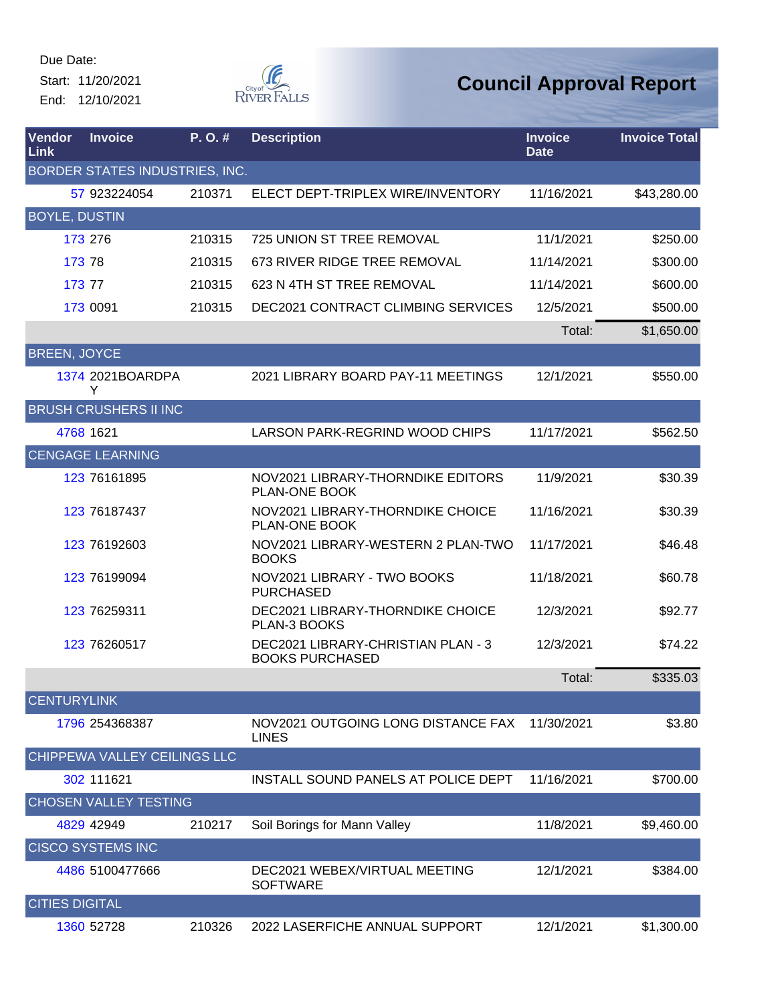Start: 11/20/2021 End: 12/10/2021



| Vendor<br>Link        | <b>Invoice</b>                 | P. O. # | <b>Description</b>                                           | <b>Invoice</b><br><b>Date</b> | <b>Invoice Total</b> |
|-----------------------|--------------------------------|---------|--------------------------------------------------------------|-------------------------------|----------------------|
|                       | BORDER STATES INDUSTRIES, INC. |         |                                                              |                               |                      |
|                       | 57 923224054                   | 210371  | ELECT DEPT-TRIPLEX WIRE/INVENTORY                            | 11/16/2021                    | \$43,280.00          |
| <b>BOYLE, DUSTIN</b>  |                                |         |                                                              |                               |                      |
|                       | 173 276                        | 210315  | <b>725 UNION ST TREE REMOVAL</b>                             | 11/1/2021                     | \$250.00             |
|                       | 173 78                         | 210315  | 673 RIVER RIDGE TREE REMOVAL                                 | 11/14/2021                    | \$300.00             |
|                       | 173 77                         | 210315  | 623 N 4TH ST TREE REMOVAL                                    | 11/14/2021                    | \$600.00             |
|                       | 173 0091                       | 210315  | <b>DEC2021 CONTRACT CLIMBING SERVICES</b>                    | 12/5/2021                     | \$500.00             |
|                       |                                |         |                                                              | Total:                        | \$1,650.00           |
| <b>BREEN, JOYCE</b>   |                                |         |                                                              |                               |                      |
|                       | 1374 2021BOARDPA<br>Y          |         | 2021 LIBRARY BOARD PAY-11 MEETINGS                           | 12/1/2021                     | \$550.00             |
|                       | <b>BRUSH CRUSHERS II INC</b>   |         |                                                              |                               |                      |
|                       | 4768 1621                      |         | LARSON PARK-REGRIND WOOD CHIPS                               | 11/17/2021                    | \$562.50             |
|                       | <b>CENGAGE LEARNING</b>        |         |                                                              |                               |                      |
|                       | 123 76161895                   |         | NOV2021 LIBRARY-THORNDIKE EDITORS<br>PLAN-ONE BOOK           | 11/9/2021                     | \$30.39              |
|                       | 123 76187437                   |         | NOV2021 LIBRARY-THORNDIKE CHOICE<br>PLAN-ONE BOOK            | 11/16/2021                    | \$30.39              |
|                       | 123 76192603                   |         | NOV2021 LIBRARY-WESTERN 2 PLAN-TWO<br><b>BOOKS</b>           | 11/17/2021                    | \$46.48              |
|                       | 123 76199094                   |         | NOV2021 LIBRARY - TWO BOOKS<br><b>PURCHASED</b>              | 11/18/2021                    | \$60.78              |
|                       | 123 76259311                   |         | DEC2021 LIBRARY-THORNDIKE CHOICE<br>PLAN-3 BOOKS             | 12/3/2021                     | \$92.77              |
|                       | 123 76260517                   |         | DEC2021 LIBRARY-CHRISTIAN PLAN - 3<br><b>BOOKS PURCHASED</b> | 12/3/2021                     | \$74.22              |
|                       |                                |         |                                                              | Total:                        | \$335.03             |
| <b>CENTURYLINK</b>    |                                |         |                                                              |                               |                      |
|                       | 1796 254368387                 |         | NOV2021 OUTGOING LONG DISTANCE FAX<br><b>LINES</b>           | 11/30/2021                    | \$3.80               |
|                       | CHIPPEWA VALLEY CEILINGS LLC   |         |                                                              |                               |                      |
|                       | 302 111621                     |         | INSTALL SOUND PANELS AT POLICE DEPT                          | 11/16/2021                    | \$700.00             |
|                       | <b>CHOSEN VALLEY TESTING</b>   |         |                                                              |                               |                      |
|                       | 4829 42949                     | 210217  | Soil Borings for Mann Valley                                 | 11/8/2021                     | \$9,460.00           |
|                       | <b>CISCO SYSTEMS INC</b>       |         |                                                              |                               |                      |
|                       | 4486 5100477666                |         | DEC2021 WEBEX/VIRTUAL MEETING<br><b>SOFTWARE</b>             | 12/1/2021                     | \$384.00             |
| <b>CITIES DIGITAL</b> |                                |         |                                                              |                               |                      |
|                       | 1360 52728                     | 210326  | 2022 LASERFICHE ANNUAL SUPPORT                               | 12/1/2021                     | \$1,300.00           |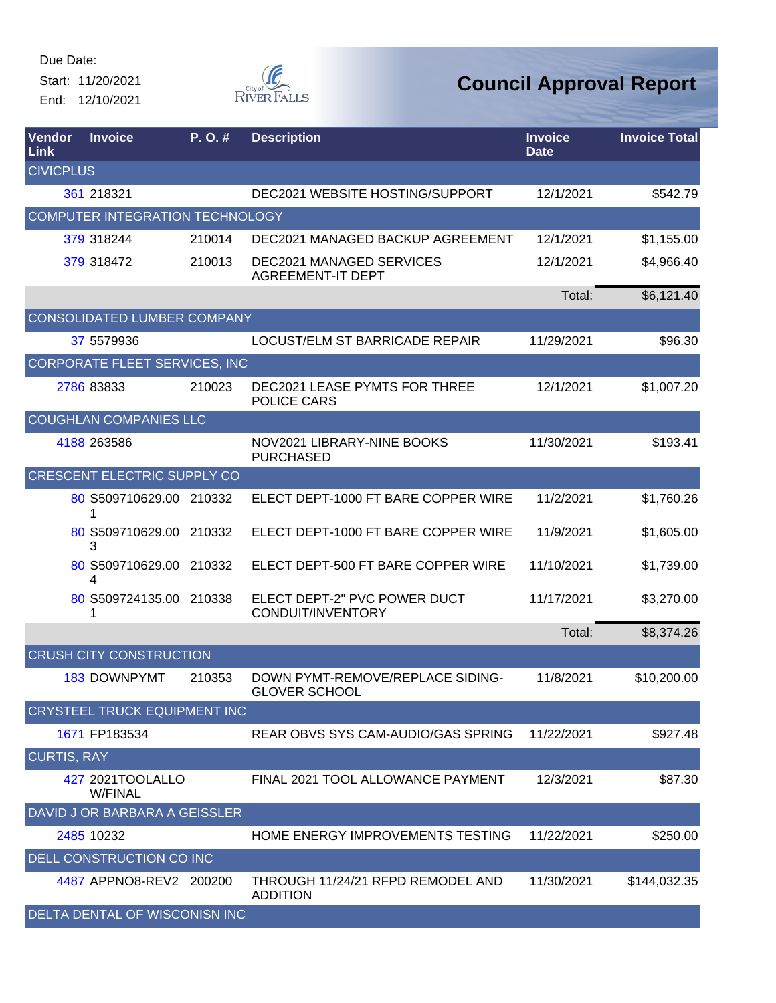Start: 11/20/2021 End: 12/10/2021



| Vendor<br>Link     | <b>Invoice</b>                       | P.O.#  | <b>Description</b>                                          | <b>Invoice</b><br><b>Date</b> | <b>Invoice Total</b> |
|--------------------|--------------------------------------|--------|-------------------------------------------------------------|-------------------------------|----------------------|
| <b>CIVICPLUS</b>   |                                      |        |                                                             |                               |                      |
|                    | 361 218321                           |        | DEC2021 WEBSITE HOSTING/SUPPORT                             | 12/1/2021                     | \$542.79             |
|                    | COMPUTER INTEGRATION TECHNOLOGY      |        |                                                             |                               |                      |
|                    | 379 318244                           | 210014 | DEC2021 MANAGED BACKUP AGREEMENT                            | 12/1/2021                     | \$1,155.00           |
|                    | 379 318472                           | 210013 | <b>DEC2021 MANAGED SERVICES</b><br><b>AGREEMENT-IT DEPT</b> | 12/1/2021                     | \$4,966.40           |
|                    |                                      |        |                                                             | Total:                        | \$6,121.40           |
|                    | CONSOLIDATED LUMBER COMPANY          |        |                                                             |                               |                      |
|                    | 37 5579936                           |        | LOCUST/ELM ST BARRICADE REPAIR                              | 11/29/2021                    | \$96.30              |
|                    | <b>CORPORATE FLEET SERVICES, INC</b> |        |                                                             |                               |                      |
|                    | 2786 83833                           | 210023 | <b>DEC2021 LEASE PYMTS FOR THREE</b><br>POLICE CARS         | 12/1/2021                     | \$1,007.20           |
|                    | <b>COUGHLAN COMPANIES LLC</b>        |        |                                                             |                               |                      |
|                    | 4188 263586                          |        | NOV2021 LIBRARY-NINE BOOKS<br><b>PURCHASED</b>              | 11/30/2021                    | \$193.41             |
|                    | <b>CRESCENT ELECTRIC SUPPLY CO</b>   |        |                                                             |                               |                      |
|                    | 80 S509710629.00 210332<br>1         |        | ELECT DEPT-1000 FT BARE COPPER WIRE                         | 11/2/2021                     | \$1,760.26           |
|                    | 80 S509710629.00<br>3                | 210332 | ELECT DEPT-1000 FT BARE COPPER WIRE                         | 11/9/2021                     | \$1,605.00           |
|                    | 80 S509710629.00<br>4                | 210332 | ELECT DEPT-500 FT BARE COPPER WIRE                          | 11/10/2021                    | \$1,739.00           |
|                    | 80 S509724135.00 210338<br>1         |        | ELECT DEPT-2" PVC POWER DUCT<br>CONDUIT/INVENTORY           | 11/17/2021                    | \$3,270.00           |
|                    |                                      |        |                                                             | Total:                        | \$8,374.26           |
|                    | <b>CRUSH CITY CONSTRUCTION</b>       |        |                                                             |                               |                      |
|                    | <b>183 DOWNPYMT</b>                  | 210353 | DOWN PYMT-REMOVE/REPLACE SIDING-<br><b>GLOVER SCHOOL</b>    | 11/8/2021                     | \$10,200.00          |
|                    | <b>CRYSTEEL TRUCK EQUIPMENT INC</b>  |        |                                                             |                               |                      |
|                    | 1671 FP183534                        |        | REAR OBVS SYS CAM-AUDIO/GAS SPRING                          | 11/22/2021                    | \$927.48             |
| <b>CURTIS, RAY</b> |                                      |        |                                                             |                               |                      |
|                    | 427 2021TOOLALLO<br><b>W/FINAL</b>   |        | FINAL 2021 TOOL ALLOWANCE PAYMENT                           | 12/3/2021                     | \$87.30              |
|                    | DAVID J OR BARBARA A GEISSLER        |        |                                                             |                               |                      |
|                    | 2485 10232                           |        | HOME ENERGY IMPROVEMENTS TESTING                            | 11/22/2021                    | \$250.00             |
|                    | DELL CONSTRUCTION CO INC             |        |                                                             |                               |                      |
|                    | 4487 APPNO8-REV2 200200              |        | THROUGH 11/24/21 RFPD REMODEL AND<br><b>ADDITION</b>        | 11/30/2021                    | \$144,032.35         |
|                    | DELTA DENTAL OF WISCONISN INC        |        |                                                             |                               |                      |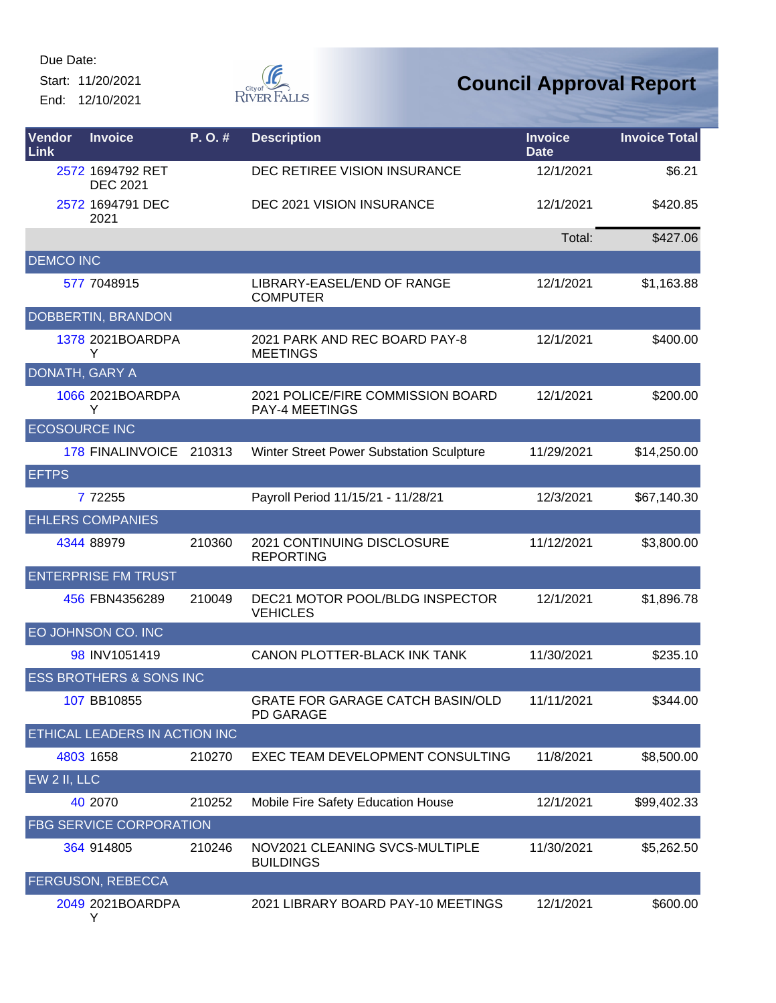Start: 11/20/2021 End: 12/10/2021



| Vendor<br>Link       | <b>Invoice</b>                      | P.O.#  | <b>Description</b>                                          | <b>Invoice</b><br><b>Date</b> | <b>Invoice Total</b> |
|----------------------|-------------------------------------|--------|-------------------------------------------------------------|-------------------------------|----------------------|
|                      | 2572 1694792 RET<br><b>DEC 2021</b> |        | DEC RETIREE VISION INSURANCE                                | 12/1/2021                     | \$6.21               |
|                      | 2572 1694791 DEC<br>2021            |        | DEC 2021 VISION INSURANCE                                   | 12/1/2021                     | \$420.85             |
|                      |                                     |        |                                                             | Total:                        | \$427.06             |
| <b>DEMCO INC</b>     |                                     |        |                                                             |                               |                      |
|                      | 577 7048915                         |        | LIBRARY-EASEL/END OF RANGE<br><b>COMPUTER</b>               | 12/1/2021                     | \$1,163.88           |
|                      | DOBBERTIN, BRANDON                  |        |                                                             |                               |                      |
|                      | 1378 2021BOARDPA<br>Y               |        | 2021 PARK AND REC BOARD PAY-8<br><b>MEETINGS</b>            | 12/1/2021                     | \$400.00             |
| DONATH, GARY A       |                                     |        |                                                             |                               |                      |
|                      | 1066 2021BOARDPA<br>Y               |        | 2021 POLICE/FIRE COMMISSION BOARD<br><b>PAY-4 MEETINGS</b>  | 12/1/2021                     | \$200.00             |
| <b>ECOSOURCE INC</b> |                                     |        |                                                             |                               |                      |
|                      | 178 FINALINVOICE 210313             |        | Winter Street Power Substation Sculpture                    | 11/29/2021                    | \$14,250.00          |
| <b>EFTPS</b>         |                                     |        |                                                             |                               |                      |
|                      | 7 72255                             |        | Payroll Period 11/15/21 - 11/28/21                          | 12/3/2021                     | \$67,140.30          |
|                      | <b>EHLERS COMPANIES</b>             |        |                                                             |                               |                      |
|                      | 4344 88979                          | 210360 | 2021 CONTINUING DISCLOSURE<br><b>REPORTING</b>              | 11/12/2021                    | \$3,800.00           |
|                      | <b>ENTERPRISE FM TRUST</b>          |        |                                                             |                               |                      |
|                      | 456 FBN4356289                      | 210049 | DEC21 MOTOR POOL/BLDG INSPECTOR<br><b>VEHICLES</b>          | 12/1/2021                     | \$1,896.78           |
|                      | EO JOHNSON CO. INC                  |        |                                                             |                               |                      |
|                      | 98 INV1051419                       |        | CANON PLOTTER-BLACK INK TANK                                | 11/30/2021                    | \$235.10             |
|                      | <b>ESS BROTHERS &amp; SONS INC</b>  |        |                                                             |                               |                      |
|                      | 107 BB10855                         |        | <b>GRATE FOR GARAGE CATCH BASIN/OLD</b><br><b>PD GARAGE</b> | 11/11/2021                    | \$344.00             |
|                      | ETHICAL LEADERS IN ACTION INC       |        |                                                             |                               |                      |
|                      | 4803 1658                           | 210270 | EXEC TEAM DEVELOPMENT CONSULTING                            | 11/8/2021                     | \$8,500.00           |
| EW 2 II, LLC         |                                     |        |                                                             |                               |                      |
|                      | 40 2070                             | 210252 | Mobile Fire Safety Education House                          | 12/1/2021                     | \$99,402.33          |
|                      | <b>FBG SERVICE CORPORATION</b>      |        |                                                             |                               |                      |
|                      | 364 914805                          | 210246 | NOV2021 CLEANING SVCS-MULTIPLE<br><b>BUILDINGS</b>          | 11/30/2021                    | \$5,262.50           |
|                      | <b>FERGUSON, REBECCA</b>            |        |                                                             |                               |                      |
|                      | 2049 2021BOARDPA<br>Y               |        | 2021 LIBRARY BOARD PAY-10 MEETINGS                          | 12/1/2021                     | \$600.00             |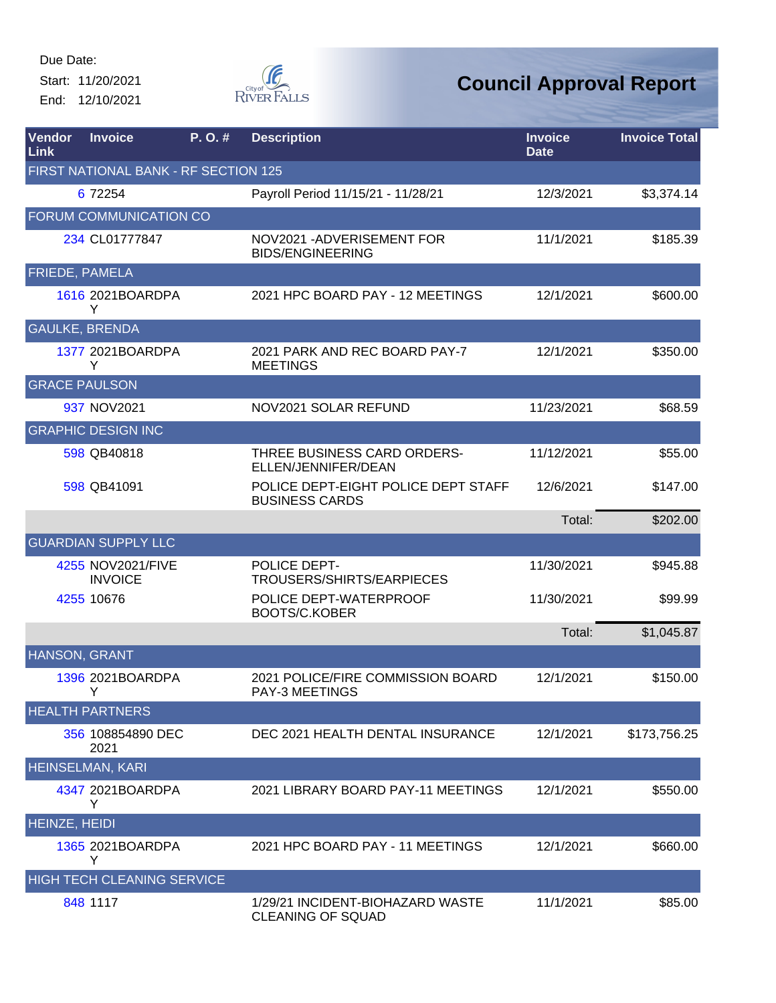Start: 11/20/2021 End: 12/10/2021



| <b>Vendor</b><br>Link | <b>Invoice</b>                       | P.O.# | <b>Description</b>                                           | <b>Invoice</b><br><b>Date</b> | <b>Invoice Total</b> |
|-----------------------|--------------------------------------|-------|--------------------------------------------------------------|-------------------------------|----------------------|
|                       | FIRST NATIONAL BANK - RF SECTION 125 |       |                                                              |                               |                      |
|                       | 6 72254                              |       | Payroll Period 11/15/21 - 11/28/21                           | 12/3/2021                     | \$3,374.14           |
|                       | FORUM COMMUNICATION CO               |       |                                                              |                               |                      |
|                       | 234 CL01777847                       |       | NOV2021 - ADVERISEMENT FOR<br><b>BIDS/ENGINEERING</b>        | 11/1/2021                     | \$185.39             |
| <b>FRIEDE, PAMELA</b> |                                      |       |                                                              |                               |                      |
|                       | 1616 2021BOARDPA<br>Y                |       | 2021 HPC BOARD PAY - 12 MEETINGS                             | 12/1/2021                     | \$600.00             |
|                       | <b>GAULKE, BRENDA</b>                |       |                                                              |                               |                      |
|                       | 1377 2021BOARDPA<br>Y                |       | 2021 PARK AND REC BOARD PAY-7<br><b>MEETINGS</b>             | 12/1/2021                     | \$350.00             |
| <b>GRACE PAULSON</b>  |                                      |       |                                                              |                               |                      |
|                       | 937 NOV2021                          |       | NOV2021 SOLAR REFUND                                         | 11/23/2021                    | \$68.59              |
|                       | <b>GRAPHIC DESIGN INC</b>            |       |                                                              |                               |                      |
|                       | 598 QB40818                          |       | THREE BUSINESS CARD ORDERS-<br>ELLEN/JENNIFER/DEAN           | 11/12/2021                    | \$55.00              |
|                       | 598 QB41091                          |       | POLICE DEPT-EIGHT POLICE DEPT STAFF<br><b>BUSINESS CARDS</b> | 12/6/2021                     | \$147.00             |
|                       |                                      |       |                                                              | Total:                        | \$202.00             |
|                       | <b>GUARDIAN SUPPLY LLC</b>           |       |                                                              |                               |                      |
|                       | 4255 NOV2021/FIVE<br><b>INVOICE</b>  |       | POLICE DEPT-<br>TROUSERS/SHIRTS/EARPIECES                    | 11/30/2021                    | \$945.88             |
|                       | 4255 10676                           |       | POLICE DEPT-WATERPROOF<br><b>BOOTS/C.KOBER</b>               | 11/30/2021                    | \$99.99              |
|                       |                                      |       |                                                              | Total:                        | \$1,045.87           |
| HANSON, GRANT         |                                      |       |                                                              |                               |                      |
|                       | 1396 2021BOARDPA<br>Y                |       | 2021 POLICE/FIRE COMMISSION BOARD<br><b>PAY-3 MEETINGS</b>   | 12/1/2021                     | \$150.00             |
|                       | <b>HEALTH PARTNERS</b>               |       |                                                              |                               |                      |
|                       | 356 108854890 DEC<br>2021            |       | DEC 2021 HEALTH DENTAL INSURANCE                             | 12/1/2021                     | \$173,756.25         |
|                       | <b>HEINSELMAN, KARI</b>              |       |                                                              |                               |                      |
|                       | 4347 2021BOARDPA<br>Y                |       | 2021 LIBRARY BOARD PAY-11 MEETINGS                           | 12/1/2021                     | \$550.00             |
| <b>HEINZE, HEIDI</b>  |                                      |       |                                                              |                               |                      |
|                       | 1365 2021BOARDPA<br>Y                |       | 2021 HPC BOARD PAY - 11 MEETINGS                             | 12/1/2021                     | \$660.00             |
|                       | <b>HIGH TECH CLEANING SERVICE</b>    |       |                                                              |                               |                      |
|                       | 848 1117                             |       | 1/29/21 INCIDENT-BIOHAZARD WASTE<br><b>CLEANING OF SQUAD</b> | 11/1/2021                     | \$85.00              |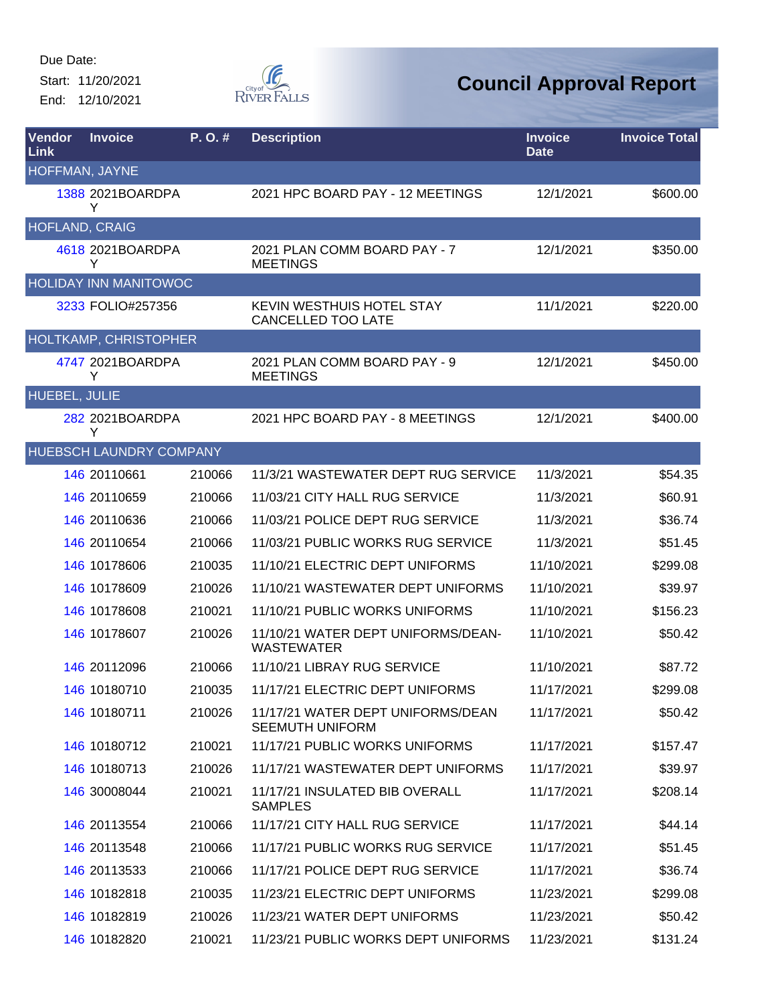Start: 11/20/2021 End: 12/10/2021



| <b>Vendor</b><br><b>Link</b> | <b>Invoice</b>               | P.O.#  | <b>Description</b>                                          | <b>Invoice</b><br><b>Date</b> | <b>Invoice Total</b> |
|------------------------------|------------------------------|--------|-------------------------------------------------------------|-------------------------------|----------------------|
| HOFFMAN, JAYNE               |                              |        |                                                             |                               |                      |
|                              | 1388 2021BOARDPA<br>Y        |        | 2021 HPC BOARD PAY - 12 MEETINGS                            | 12/1/2021                     | \$600.00             |
| HOFLAND, CRAIG               |                              |        |                                                             |                               |                      |
|                              | 4618 2021BOARDPA<br>Y        |        | 2021 PLAN COMM BOARD PAY - 7<br><b>MEETINGS</b>             | 12/1/2021                     | \$350.00             |
|                              | <b>HOLIDAY INN MANITOWOC</b> |        |                                                             |                               |                      |
|                              | 3233 FOLIO#257356            |        | KEVIN WESTHUIS HOTEL STAY<br><b>CANCELLED TOO LATE</b>      | 11/1/2021                     | \$220.00             |
|                              | HOLTKAMP, CHRISTOPHER        |        |                                                             |                               |                      |
|                              | 4747 2021BOARDPA<br>Y        |        | 2021 PLAN COMM BOARD PAY - 9<br><b>MEETINGS</b>             | 12/1/2021                     | \$450.00             |
| HUEBEL, JULIE                |                              |        |                                                             |                               |                      |
|                              | 282 2021BOARDPA<br>Y         |        | 2021 HPC BOARD PAY - 8 MEETINGS                             | 12/1/2021                     | \$400.00             |
|                              | HUEBSCH LAUNDRY COMPANY      |        |                                                             |                               |                      |
|                              | 146 20110661                 | 210066 | 11/3/21 WASTEWATER DEPT RUG SERVICE                         | 11/3/2021                     | \$54.35              |
|                              | 146 20110659                 | 210066 | 11/03/21 CITY HALL RUG SERVICE                              | 11/3/2021                     | \$60.91              |
|                              | 146 20110636                 | 210066 | 11/03/21 POLICE DEPT RUG SERVICE                            | 11/3/2021                     | \$36.74              |
|                              | 146 20110654                 | 210066 | 11/03/21 PUBLIC WORKS RUG SERVICE                           | 11/3/2021                     | \$51.45              |
|                              | 146 10178606                 | 210035 | 11/10/21 ELECTRIC DEPT UNIFORMS                             | 11/10/2021                    | \$299.08             |
|                              | 146 10178609                 | 210026 | 11/10/21 WASTEWATER DEPT UNIFORMS                           | 11/10/2021                    | \$39.97              |
|                              | 146 10178608                 | 210021 | 11/10/21 PUBLIC WORKS UNIFORMS                              | 11/10/2021                    | \$156.23             |
|                              | 146 10178607                 | 210026 | 11/10/21 WATER DEPT UNIFORMS/DEAN-<br><b>WASTEWATER</b>     | 11/10/2021                    | \$50.42              |
|                              | 146 20112096                 | 210066 | 11/10/21 LIBRAY RUG SERVICE                                 | 11/10/2021                    | \$87.72              |
|                              | 146 10180710                 | 210035 | 11/17/21 ELECTRIC DEPT UNIFORMS                             | 11/17/2021                    | \$299.08             |
|                              | 146 10180711                 | 210026 | 11/17/21 WATER DEPT UNIFORMS/DEAN<br><b>SEEMUTH UNIFORM</b> | 11/17/2021                    | \$50.42              |
|                              | 146 10180712                 | 210021 | 11/17/21 PUBLIC WORKS UNIFORMS                              | 11/17/2021                    | \$157.47             |
|                              | 146 10180713                 | 210026 | 11/17/21 WASTEWATER DEPT UNIFORMS                           | 11/17/2021                    | \$39.97              |
|                              | 146 30008044                 | 210021 | 11/17/21 INSULATED BIB OVERALL<br><b>SAMPLES</b>            | 11/17/2021                    | \$208.14             |
|                              | 146 20113554                 | 210066 | 11/17/21 CITY HALL RUG SERVICE                              | 11/17/2021                    | \$44.14              |
|                              | 146 20113548                 | 210066 | 11/17/21 PUBLIC WORKS RUG SERVICE                           | 11/17/2021                    | \$51.45              |
|                              | 146 20113533                 | 210066 | 11/17/21 POLICE DEPT RUG SERVICE                            | 11/17/2021                    | \$36.74              |
|                              | 146 10182818                 | 210035 | 11/23/21 ELECTRIC DEPT UNIFORMS                             | 11/23/2021                    | \$299.08             |
|                              | 146 10182819                 | 210026 | 11/23/21 WATER DEPT UNIFORMS                                | 11/23/2021                    | \$50.42              |
|                              | 146 10182820                 | 210021 | 11/23/21 PUBLIC WORKS DEPT UNIFORMS                         | 11/23/2021                    | \$131.24             |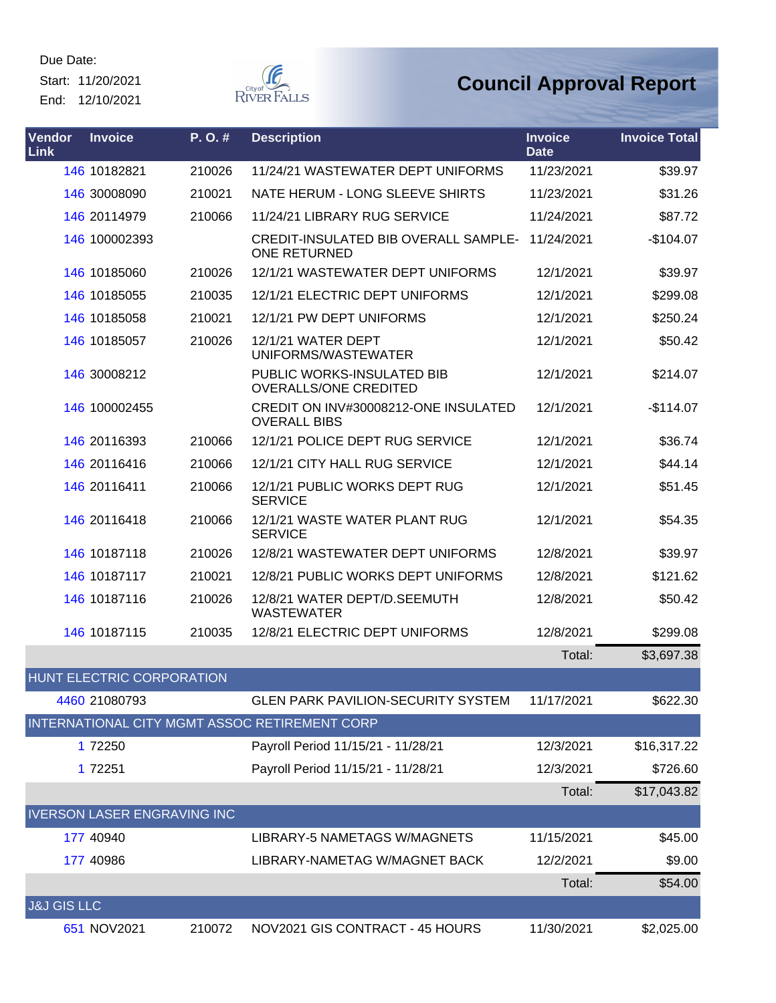Start: 11/20/2021

End: 12/10/2021



| Vendor<br><b>Link</b>  | <b>Invoice</b>                     | P. O. # | <b>Description</b>                                                 | <b>Invoice</b><br><b>Date</b> | <b>Invoice Total</b> |
|------------------------|------------------------------------|---------|--------------------------------------------------------------------|-------------------------------|----------------------|
|                        | 146 10182821                       | 210026  | 11/24/21 WASTEWATER DEPT UNIFORMS                                  | 11/23/2021                    | \$39.97              |
|                        | 146 30008090                       | 210021  | NATE HERUM - LONG SLEEVE SHIRTS                                    | 11/23/2021                    | \$31.26              |
|                        | 146 20114979                       | 210066  | 11/24/21 LIBRARY RUG SERVICE                                       | 11/24/2021                    | \$87.72              |
|                        | 146 100002393                      |         | <b>CREDIT-INSULATED BIB OVERALL SAMPLE-</b><br><b>ONE RETURNED</b> | 11/24/2021                    | $-$104.07$           |
|                        | 146 10185060                       | 210026  | 12/1/21 WASTEWATER DEPT UNIFORMS                                   | 12/1/2021                     | \$39.97              |
|                        | 146 10185055                       | 210035  | 12/1/21 ELECTRIC DEPT UNIFORMS                                     | 12/1/2021                     | \$299.08             |
|                        | 146 10185058                       | 210021  | 12/1/21 PW DEPT UNIFORMS                                           | 12/1/2021                     | \$250.24             |
|                        | 146 10185057                       | 210026  | 12/1/21 WATER DEPT<br>UNIFORMS/WASTEWATER                          | 12/1/2021                     | \$50.42              |
|                        | 146 30008212                       |         | PUBLIC WORKS-INSULATED BIB<br><b>OVERALLS/ONE CREDITED</b>         | 12/1/2021                     | \$214.07             |
|                        | 146 100002455                      |         | CREDIT ON INV#30008212-ONE INSULATED<br><b>OVERALL BIBS</b>        | 12/1/2021                     | $-$114.07$           |
|                        | 146 20116393                       | 210066  | 12/1/21 POLICE DEPT RUG SERVICE                                    | 12/1/2021                     | \$36.74              |
|                        | 146 20116416                       | 210066  | 12/1/21 CITY HALL RUG SERVICE                                      | 12/1/2021                     | \$44.14              |
|                        | 146 20116411                       | 210066  | 12/1/21 PUBLIC WORKS DEPT RUG<br><b>SERVICE</b>                    | 12/1/2021                     | \$51.45              |
|                        | 146 20116418                       | 210066  | 12/1/21 WASTE WATER PLANT RUG<br><b>SERVICE</b>                    | 12/1/2021                     | \$54.35              |
|                        | 146 10187118                       | 210026  | 12/8/21 WASTEWATER DEPT UNIFORMS                                   | 12/8/2021                     | \$39.97              |
|                        | 146 10187117                       | 210021  | 12/8/21 PUBLIC WORKS DEPT UNIFORMS                                 | 12/8/2021                     | \$121.62             |
|                        | 146 10187116                       | 210026  | 12/8/21 WATER DEPT/D.SEEMUTH<br><b>WASTEWATER</b>                  | 12/8/2021                     | \$50.42              |
|                        | 146 10187115                       | 210035  | 12/8/21 ELECTRIC DEPT UNIFORMS                                     | 12/8/2021                     | \$299.08             |
|                        |                                    |         |                                                                    | Total:                        | \$3,697.38           |
|                        | HUNT ELECTRIC CORPORATION          |         |                                                                    |                               |                      |
|                        | 4460 21080793                      |         | <b>GLEN PARK PAVILION-SECURITY SYSTEM</b>                          | 11/17/2021                    | \$622.30             |
|                        |                                    |         | INTERNATIONAL CITY MGMT ASSOC RETIREMENT CORP                      |                               |                      |
|                        | 1 72250                            |         | Payroll Period 11/15/21 - 11/28/21                                 | 12/3/2021                     | \$16,317.22          |
|                        | 1 72251                            |         | Payroll Period 11/15/21 - 11/28/21                                 | 12/3/2021                     | \$726.60             |
|                        |                                    |         |                                                                    | Total:                        | \$17,043.82          |
|                        | <b>IVERSON LASER ENGRAVING INC</b> |         |                                                                    |                               |                      |
|                        | 177 40940                          |         | LIBRARY-5 NAMETAGS W/MAGNETS                                       | 11/15/2021                    | \$45.00              |
|                        | 177 40986                          |         | LIBRARY-NAMETAG W/MAGNET BACK                                      | 12/2/2021                     | \$9.00               |
|                        |                                    |         |                                                                    | Total:                        | \$54.00              |
| <b>J&amp;J GIS LLC</b> |                                    |         |                                                                    |                               |                      |
|                        | 651 NOV2021                        | 210072  | NOV2021 GIS CONTRACT - 45 HOURS                                    | 11/30/2021                    | \$2,025.00           |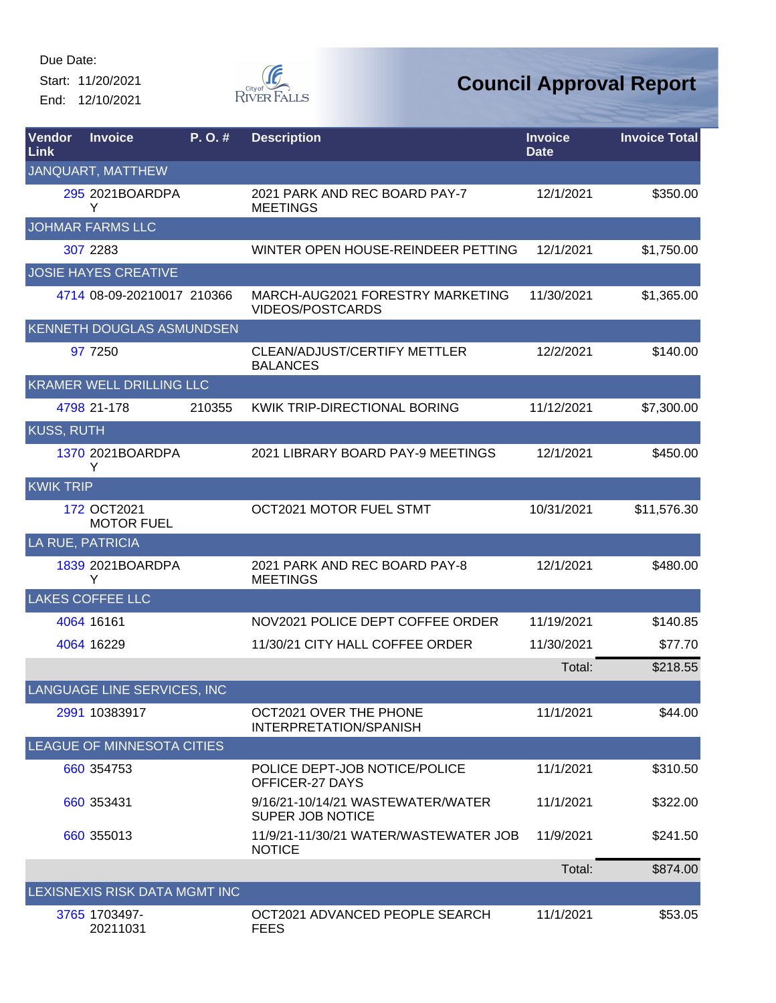Start: 11/20/2021 End: 12/10/2021



| Vendor<br>Link    | <b>Invoice</b>                    | $P. O.$ # | <b>Description</b>                                           | <b>Invoice</b><br><b>Date</b> | <b>Invoice Total</b> |
|-------------------|-----------------------------------|-----------|--------------------------------------------------------------|-------------------------------|----------------------|
|                   | JANQUART, MATTHEW                 |           |                                                              |                               |                      |
|                   | 295 2021BOARDPA<br>Y              |           | 2021 PARK AND REC BOARD PAY-7<br><b>MEETINGS</b>             | 12/1/2021                     | \$350.00             |
|                   | <b>JOHMAR FARMS LLC</b>           |           |                                                              |                               |                      |
|                   | 307 2283                          |           | WINTER OPEN HOUSE-REINDEER PETTING                           | 12/1/2021                     | \$1,750.00           |
|                   | <b>JOSIE HAYES CREATIVE</b>       |           |                                                              |                               |                      |
|                   | 4714 08-09-20210017 210366        |           | MARCH-AUG2021 FORESTRY MARKETING<br>VIDEOS/POSTCARDS         | 11/30/2021                    | \$1,365.00           |
|                   | KENNETH DOUGLAS ASMUNDSEN         |           |                                                              |                               |                      |
|                   | 97 7250                           |           | <b>CLEAN/ADJUST/CERTIFY METTLER</b><br><b>BALANCES</b>       | 12/2/2021                     | \$140.00             |
|                   | <b>KRAMER WELL DRILLING LLC</b>   |           |                                                              |                               |                      |
|                   | 4798 21-178                       | 210355    | KWIK TRIP-DIRECTIONAL BORING                                 | 11/12/2021                    | \$7,300.00           |
| <b>KUSS, RUTH</b> |                                   |           |                                                              |                               |                      |
|                   | 1370 2021BOARDPA<br>Y             |           | 2021 LIBRARY BOARD PAY-9 MEETINGS                            | 12/1/2021                     | \$450.00             |
| <b>KWIKTRIP</b>   |                                   |           |                                                              |                               |                      |
|                   | 172 OCT2021<br><b>MOTOR FUEL</b>  |           | OCT2021 MOTOR FUEL STMT                                      | 10/31/2021                    | \$11,576.30          |
|                   | <b>LA RUE, PATRICIA</b>           |           |                                                              |                               |                      |
|                   | 1839 2021BOARDPA<br>Y             |           | 2021 PARK AND REC BOARD PAY-8<br><b>MEETINGS</b>             | 12/1/2021                     | \$480.00             |
|                   | <b>LAKES COFFEE LLC</b>           |           |                                                              |                               |                      |
|                   | 4064 16161                        |           | NOV2021 POLICE DEPT COFFEE ORDER                             | 11/19/2021                    | \$140.85             |
|                   | 4064 16229                        |           | 11/30/21 CITY HALL COFFEE ORDER                              | 11/30/2021                    | \$77.70              |
|                   |                                   |           |                                                              | Total:                        | \$218.55             |
|                   | LANGUAGE LINE SERVICES, INC       |           |                                                              |                               |                      |
|                   | 2991 10383917                     |           | OCT2021 OVER THE PHONE<br>INTERPRETATION/SPANISH             | 11/1/2021                     | \$44.00              |
|                   | <b>LEAGUE OF MINNESOTA CITIES</b> |           |                                                              |                               |                      |
|                   | 660 354753                        |           | POLICE DEPT-JOB NOTICE/POLICE<br>OFFICER-27 DAYS             | 11/1/2021                     | \$310.50             |
|                   | 660 353431                        |           | 9/16/21-10/14/21 WASTEWATER/WATER<br><b>SUPER JOB NOTICE</b> | 11/1/2021                     | \$322.00             |
|                   | 660 355013                        |           | 11/9/21-11/30/21 WATER/WASTEWATER JOB<br><b>NOTICE</b>       | 11/9/2021                     | \$241.50             |
|                   |                                   |           |                                                              | Total:                        | \$874.00             |
|                   | LEXISNEXIS RISK DATA MGMT INC     |           |                                                              |                               |                      |
|                   | 3765 1703497-<br>20211031         |           | OCT2021 ADVANCED PEOPLE SEARCH<br><b>FEES</b>                | 11/1/2021                     | \$53.05              |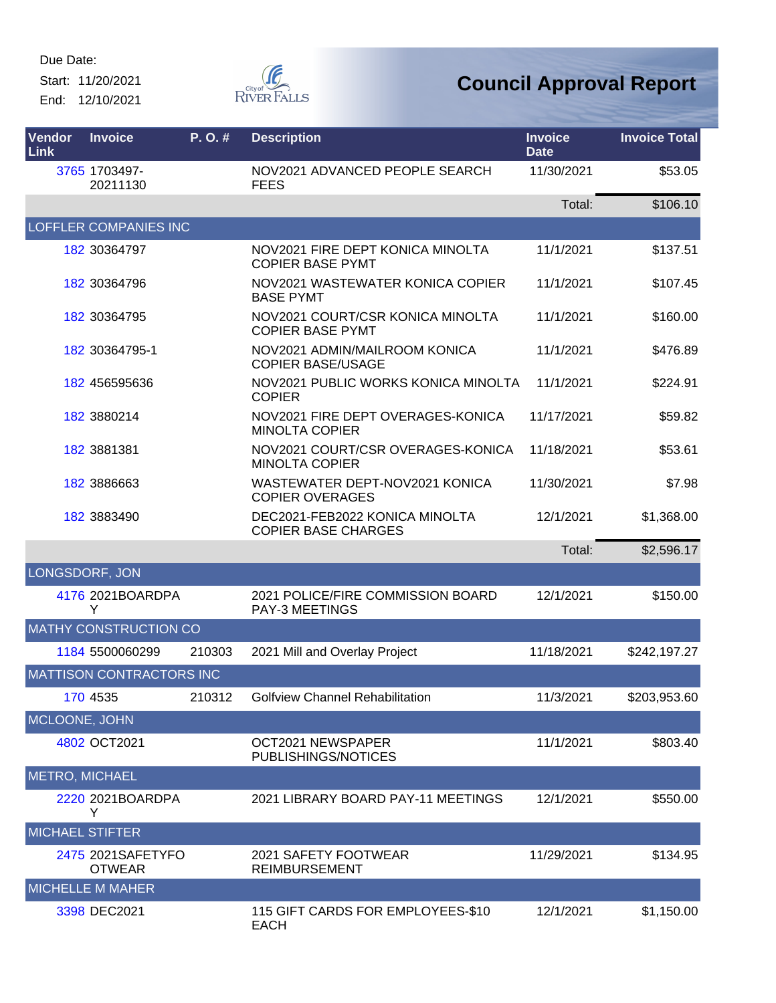Start: 11/20/2021 End: 12/10/2021



| Vendor<br><b>Link</b>  | <b>Invoice</b>                     | P.O.#  | <b>Description</b>                                           | <b>Invoice</b><br><b>Date</b> | <b>Invoice Total</b> |
|------------------------|------------------------------------|--------|--------------------------------------------------------------|-------------------------------|----------------------|
|                        | 3765 1703497-<br>20211130          |        | NOV2021 ADVANCED PEOPLE SEARCH<br><b>FEES</b>                | 11/30/2021                    | \$53.05              |
|                        |                                    |        |                                                              | Total:                        | \$106.10             |
|                        | <b>LOFFLER COMPANIES INC</b>       |        |                                                              |                               |                      |
|                        | 182 30364797                       |        | NOV2021 FIRE DEPT KONICA MINOLTA<br><b>COPIER BASE PYMT</b>  | 11/1/2021                     | \$137.51             |
|                        | 182 30364796                       |        | NOV2021 WASTEWATER KONICA COPIER<br><b>BASE PYMT</b>         | 11/1/2021                     | \$107.45             |
|                        | 182 30364795                       |        | NOV2021 COURT/CSR KONICA MINOLTA<br><b>COPIER BASE PYMT</b>  | 11/1/2021                     | \$160.00             |
|                        | 182 30364795-1                     |        | NOV2021 ADMIN/MAILROOM KONICA<br><b>COPIER BASE/USAGE</b>    | 11/1/2021                     | \$476.89             |
|                        | 182 456595636                      |        | NOV2021 PUBLIC WORKS KONICA MINOLTA<br><b>COPIER</b>         | 11/1/2021                     | \$224.91             |
|                        | 182 3880214                        |        | NOV2021 FIRE DEPT OVERAGES-KONICA<br><b>MINOLTA COPIER</b>   | 11/17/2021                    | \$59.82              |
|                        | 182 3881381                        |        | NOV2021 COURT/CSR OVERAGES-KONICA<br><b>MINOLTA COPIER</b>   | 11/18/2021                    | \$53.61              |
|                        | 182 3886663                        |        | WASTEWATER DEPT-NOV2021 KONICA<br><b>COPIER OVERAGES</b>     | 11/30/2021                    | \$7.98               |
|                        | 182 3883490                        |        | DEC2021-FEB2022 KONICA MINOLTA<br><b>COPIER BASE CHARGES</b> | 12/1/2021                     | \$1,368.00           |
|                        |                                    |        |                                                              | Total:                        | \$2,596.17           |
| LONGSDORF, JON         |                                    |        |                                                              |                               |                      |
|                        | 4176 2021BOARDPA<br>Y              |        | 2021 POLICE/FIRE COMMISSION BOARD<br><b>PAY-3 MEETINGS</b>   | 12/1/2021                     | \$150.00             |
|                        | <b>MATHY CONSTRUCTION CO</b>       |        |                                                              |                               |                      |
|                        | 1184 5500060299                    | 210303 | 2021 Mill and Overlay Project                                | 11/18/2021                    | \$242,197.27         |
|                        | <b>MATTISON CONTRACTORS INC</b>    |        |                                                              |                               |                      |
|                        | 170 4535                           | 210312 | <b>Golfview Channel Rehabilitation</b>                       | 11/3/2021                     | \$203,953.60         |
| MCLOONE, JOHN          |                                    |        |                                                              |                               |                      |
|                        | 4802 OCT2021                       |        | OCT2021 NEWSPAPER<br>PUBLISHINGS/NOTICES                     | 11/1/2021                     | \$803.40             |
| <b>METRO, MICHAEL</b>  |                                    |        |                                                              |                               |                      |
|                        | 2220 2021BOARDPA<br>Y              |        | 2021 LIBRARY BOARD PAY-11 MEETINGS                           | 12/1/2021                     | \$550.00             |
| <b>MICHAEL STIFTER</b> |                                    |        |                                                              |                               |                      |
|                        | 2475 2021SAFETYFO<br><b>OTWEAR</b> |        | 2021 SAFETY FOOTWEAR<br><b>REIMBURSEMENT</b>                 | 11/29/2021                    | \$134.95             |
|                        | <b>MICHELLE M MAHER</b>            |        |                                                              |                               |                      |
|                        | 3398 DEC2021                       |        | 115 GIFT CARDS FOR EMPLOYEES-\$10<br><b>EACH</b>             | 12/1/2021                     | \$1,150.00           |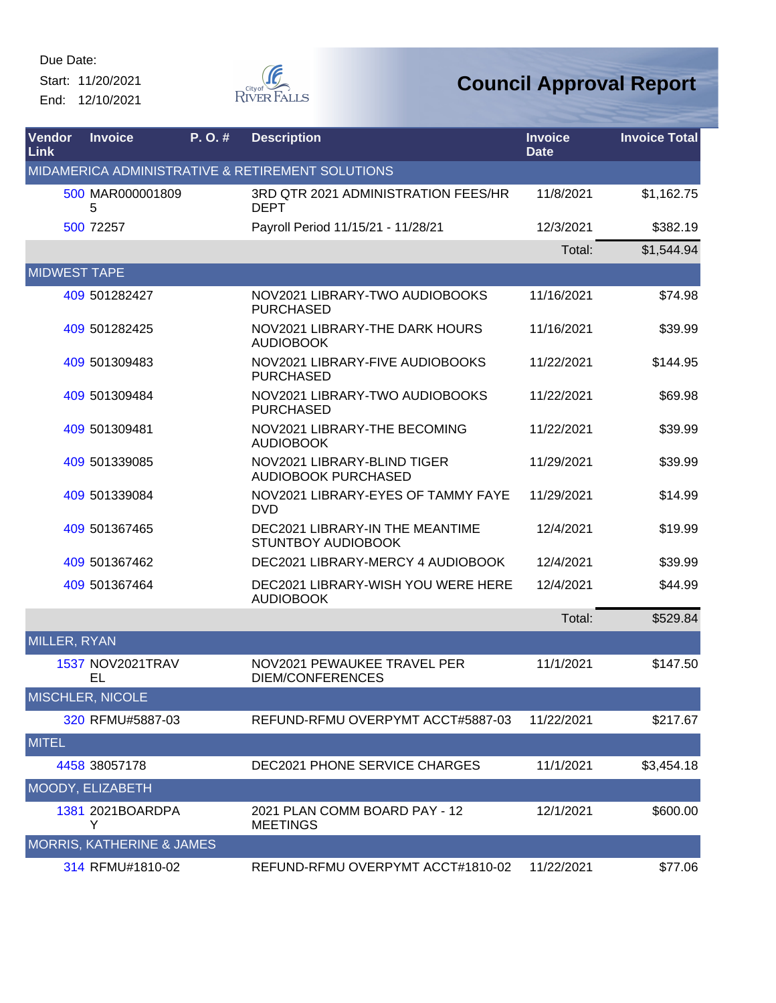Start: 11/20/2021 End: 12/10/2021



| Vendor<br>Link      | <b>Invoice</b>                       | P.O.# | <b>Description</b>                                           | <b>Invoice</b><br><b>Date</b> | <b>Invoice Total</b> |
|---------------------|--------------------------------------|-------|--------------------------------------------------------------|-------------------------------|----------------------|
|                     |                                      |       | MIDAMERICA ADMINISTRATIVE & RETIREMENT SOLUTIONS             |                               |                      |
|                     | 500 MAR000001809<br>5                |       | 3RD QTR 2021 ADMINISTRATION FEES/HR<br><b>DEPT</b>           | 11/8/2021                     | \$1,162.75           |
|                     | 500 72257                            |       | Payroll Period 11/15/21 - 11/28/21                           | 12/3/2021                     | \$382.19             |
|                     |                                      |       |                                                              | Total:                        | \$1,544.94           |
| <b>MIDWEST TAPE</b> |                                      |       |                                                              |                               |                      |
|                     | 409 501282427                        |       | NOV2021 LIBRARY-TWO AUDIOBOOKS<br><b>PURCHASED</b>           | 11/16/2021                    | \$74.98              |
|                     | 409 501282425                        |       | NOV2021 LIBRARY-THE DARK HOURS<br><b>AUDIOBOOK</b>           | 11/16/2021                    | \$39.99              |
|                     | 409 501309483                        |       | NOV2021 LIBRARY-FIVE AUDIOBOOKS<br><b>PURCHASED</b>          | 11/22/2021                    | \$144.95             |
|                     | 409 501309484                        |       | NOV2021 LIBRARY-TWO AUDIOBOOKS<br><b>PURCHASED</b>           | 11/22/2021                    | \$69.98              |
|                     | 409 501309481                        |       | NOV2021 LIBRARY-THE BECOMING<br><b>AUDIOBOOK</b>             | 11/22/2021                    | \$39.99              |
|                     | 409 501339085                        |       | NOV2021 LIBRARY-BLIND TIGER<br><b>AUDIOBOOK PURCHASED</b>    | 11/29/2021                    | \$39.99              |
|                     | 409 501339084                        |       | NOV2021 LIBRARY-EYES OF TAMMY FAYE<br><b>DVD</b>             | 11/29/2021                    | \$14.99              |
|                     | 409 501367465                        |       | DEC2021 LIBRARY-IN THE MEANTIME<br><b>STUNTBOY AUDIOBOOK</b> | 12/4/2021                     | \$19.99              |
|                     | 409 501367462                        |       | DEC2021 LIBRARY-MERCY 4 AUDIOBOOK                            | 12/4/2021                     | \$39.99              |
|                     | 409 501367464                        |       | DEC2021 LIBRARY-WISH YOU WERE HERE<br><b>AUDIOBOOK</b>       | 12/4/2021                     | \$44.99              |
|                     |                                      |       |                                                              | Total:                        | \$529.84             |
| MILLER, RYAN        |                                      |       |                                                              |                               |                      |
|                     | 1537 NOV2021TRAV<br>EL               |       | NOV2021 PEWAUKEE TRAVEL PER<br><b>DIEM/CONFERENCES</b>       | 11/1/2021                     | \$147.50             |
|                     | MISCHLER, NICOLE                     |       |                                                              |                               |                      |
|                     | 320 RFMU#5887-03                     |       | REFUND-RFMU OVERPYMT ACCT#5887-03                            | 11/22/2021                    | \$217.67             |
| <b>MITEL</b>        |                                      |       |                                                              |                               |                      |
|                     | 4458 38057178                        |       | <b>DEC2021 PHONE SERVICE CHARGES</b>                         | 11/1/2021                     | \$3,454.18           |
|                     | MOODY, ELIZABETH                     |       |                                                              |                               |                      |
|                     | 1381 2021BOARDPA<br>Y                |       | 2021 PLAN COMM BOARD PAY - 12<br><b>MEETINGS</b>             | 12/1/2021                     | \$600.00             |
|                     | <b>MORRIS, KATHERINE &amp; JAMES</b> |       |                                                              |                               |                      |
|                     | 314 RFMU#1810-02                     |       | REFUND-RFMU OVERPYMT ACCT#1810-02                            | 11/22/2021                    | \$77.06              |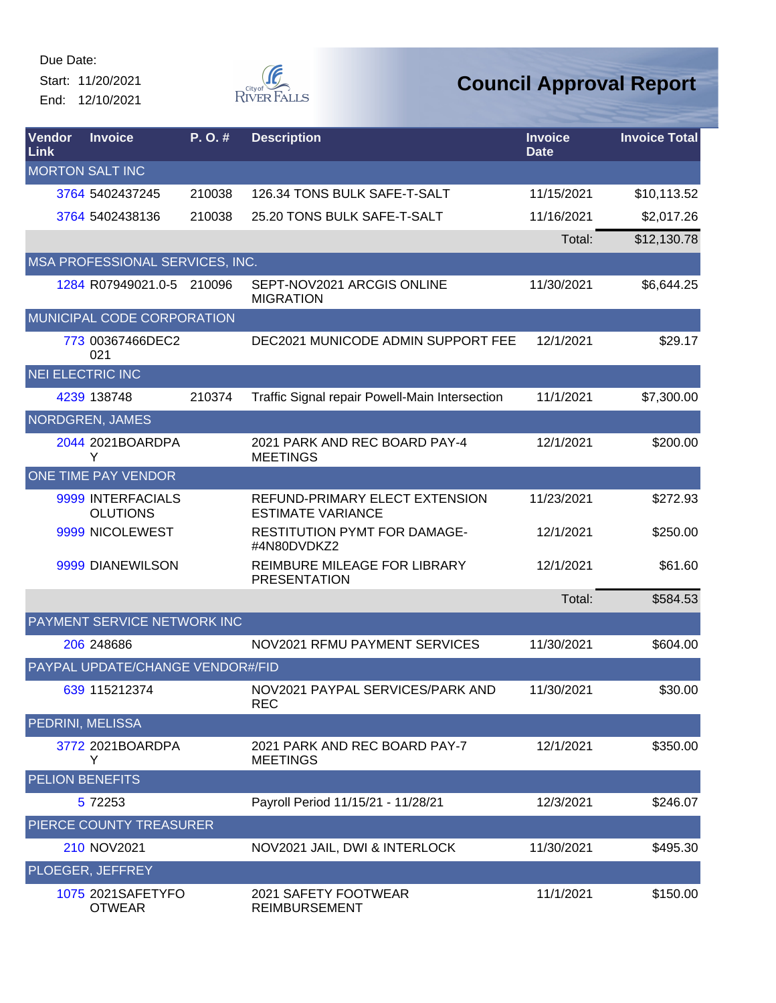Start: 11/20/2021 End: 12/10/2021



| Vendor<br>Link          | <b>Invoice</b>                       | P.O.#  | <b>Description</b>                                         | <b>Invoice</b><br><b>Date</b> | <b>Invoice Total</b> |
|-------------------------|--------------------------------------|--------|------------------------------------------------------------|-------------------------------|----------------------|
|                         | <b>MORTON SALT INC</b>               |        |                                                            |                               |                      |
|                         | 3764 5402437245                      | 210038 | 126.34 TONS BULK SAFE-T-SALT                               | 11/15/2021                    | \$10,113.52          |
|                         | 3764 5402438136                      | 210038 | 25.20 TONS BULK SAFE-T-SALT                                | 11/16/2021                    | \$2,017.26           |
|                         |                                      |        |                                                            | Total:                        | \$12,130.78          |
|                         | MSA PROFESSIONAL SERVICES, INC.      |        |                                                            |                               |                      |
|                         | 1284 R07949021.0-5 210096            |        | SEPT-NOV2021 ARCGIS ONLINE<br><b>MIGRATION</b>             | 11/30/2021                    | \$6,644.25           |
|                         | MUNICIPAL CODE CORPORATION           |        |                                                            |                               |                      |
|                         | 773 00367466DEC2<br>021              |        | DEC2021 MUNICODE ADMIN SUPPORT FEE                         | 12/1/2021                     | \$29.17              |
| <b>NEI ELECTRIC INC</b> |                                      |        |                                                            |                               |                      |
|                         | 4239 138748                          | 210374 | Traffic Signal repair Powell-Main Intersection             | 11/1/2021                     | \$7,300.00           |
|                         | NORDGREN, JAMES                      |        |                                                            |                               |                      |
|                         | 2044 2021BOARDPA<br>Y                |        | 2021 PARK AND REC BOARD PAY-4<br><b>MEETINGS</b>           | 12/1/2021                     | \$200.00             |
|                         | <b>ONE TIME PAY VENDOR</b>           |        |                                                            |                               |                      |
|                         | 9999 INTERFACIALS<br><b>OLUTIONS</b> |        | REFUND-PRIMARY ELECT EXTENSION<br><b>ESTIMATE VARIANCE</b> | 11/23/2021                    | \$272.93             |
|                         | 9999 NICOLEWEST                      |        | <b>RESTITUTION PYMT FOR DAMAGE-</b><br>#4N80DVDKZ2         | 12/1/2021                     | \$250.00             |
|                         | 9999 DIANEWILSON                     |        | REIMBURE MILEAGE FOR LIBRARY<br><b>PRESENTATION</b>        | 12/1/2021                     | \$61.60              |
|                         |                                      |        |                                                            | Total:                        | \$584.53             |
|                         | PAYMENT SERVICE NETWORK INC          |        |                                                            |                               |                      |
|                         | 206 248686                           |        | NOV2021 RFMU PAYMENT SERVICES                              | 11/30/2021                    | \$604.00             |
|                         | PAYPAL UPDATE/CHANGE VENDOR#/FID     |        |                                                            |                               |                      |
|                         | 639 115212374                        |        | NOV2021 PAYPAL SERVICES/PARK AND<br>REC                    | 11/30/2021                    | \$30.00              |
| PEDRINI, MELISSA        |                                      |        |                                                            |                               |                      |
|                         | 3772 2021BOARDPA<br>Y                |        | 2021 PARK AND REC BOARD PAY-7<br><b>MEETINGS</b>           | 12/1/2021                     | \$350.00             |
| <b>PELION BENEFITS</b>  |                                      |        |                                                            |                               |                      |
|                         | 5 72253                              |        | Payroll Period 11/15/21 - 11/28/21                         | 12/3/2021                     | \$246.07             |
|                         | PIERCE COUNTY TREASURER              |        |                                                            |                               |                      |
|                         | 210 NOV2021                          |        | NOV2021 JAIL, DWI & INTERLOCK                              | 11/30/2021                    | \$495.30             |
|                         | PLOEGER, JEFFREY                     |        |                                                            |                               |                      |
|                         | 1075 2021SAFETYFO<br><b>OTWEAR</b>   |        | 2021 SAFETY FOOTWEAR<br><b>REIMBURSEMENT</b>               | 11/1/2021                     | \$150.00             |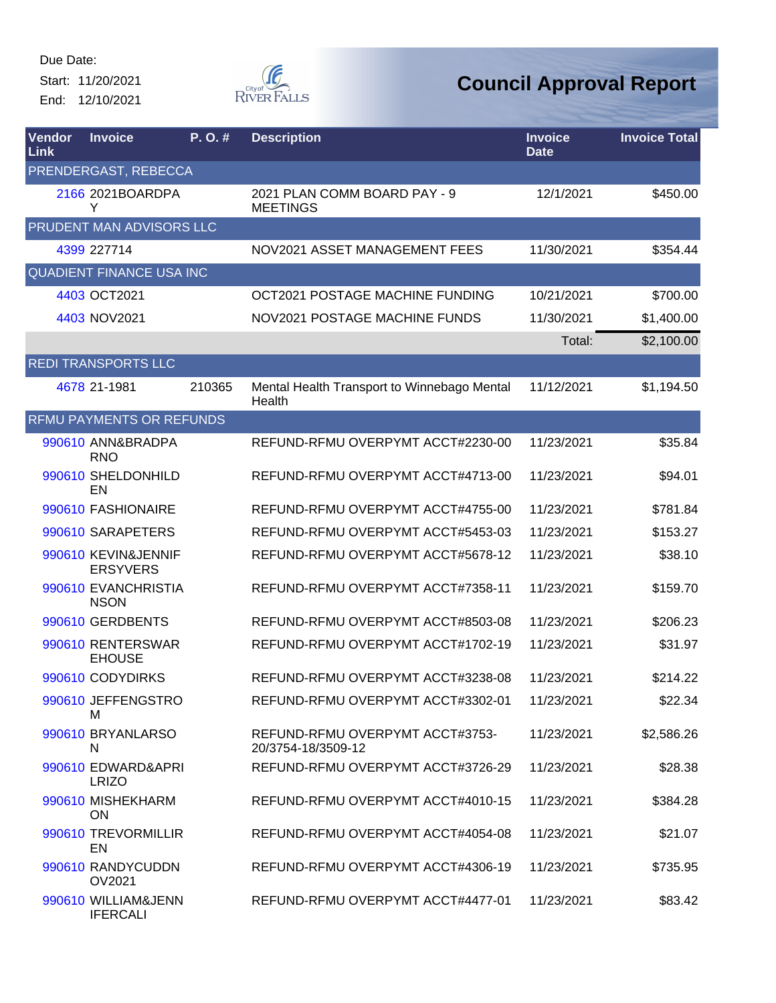Start: 11/20/2021 End: 12/10/2021



| Vendor<br>Link | <b>Invoice</b>                         | P. O. # | <b>Description</b>                                    | <b>Invoice</b><br><b>Date</b> | <b>Invoice Total</b> |
|----------------|----------------------------------------|---------|-------------------------------------------------------|-------------------------------|----------------------|
|                | PRENDERGAST, REBECCA                   |         |                                                       |                               |                      |
|                | 2166 2021BOARDPA<br>Y                  |         | 2021 PLAN COMM BOARD PAY - 9<br><b>MEETINGS</b>       | 12/1/2021                     | \$450.00             |
|                | PRUDENT MAN ADVISORS LLC               |         |                                                       |                               |                      |
|                | 4399 227714                            |         | NOV2021 ASSET MANAGEMENT FEES                         | 11/30/2021                    | \$354.44             |
|                | <b>QUADIENT FINANCE USA INC</b>        |         |                                                       |                               |                      |
|                | 4403 OCT2021                           |         | OCT2021 POSTAGE MACHINE FUNDING                       | 10/21/2021                    | \$700.00             |
|                | 4403 NOV2021                           |         | NOV2021 POSTAGE MACHINE FUNDS                         | 11/30/2021                    | \$1,400.00           |
|                |                                        |         |                                                       | Total:                        | \$2,100.00           |
|                | <b>REDI TRANSPORTS LLC</b>             |         |                                                       |                               |                      |
|                | 4678 21-1981                           | 210365  | Mental Health Transport to Winnebago Mental<br>Health | 11/12/2021                    | \$1,194.50           |
|                | <b>RFMU PAYMENTS OR REFUNDS</b>        |         |                                                       |                               |                      |
|                | 990610 ANN&BRADPA<br><b>RNO</b>        |         | REFUND-RFMU OVERPYMT ACCT#2230-00                     | 11/23/2021                    | \$35.84              |
|                | 990610 SHELDONHILD<br>EN               |         | REFUND-RFMU OVERPYMT ACCT#4713-00                     | 11/23/2021                    | \$94.01              |
|                | 990610 FASHIONAIRE                     |         | REFUND-RFMU OVERPYMT ACCT#4755-00                     | 11/23/2021                    | \$781.84             |
|                | 990610 SARAPETERS                      |         | REFUND-RFMU OVERPYMT ACCT#5453-03                     | 11/23/2021                    | \$153.27             |
|                | 990610 KEVIN&JENNIF<br><b>ERSYVERS</b> |         | REFUND-RFMU OVERPYMT ACCT#5678-12                     | 11/23/2021                    | \$38.10              |
|                | 990610 EVANCHRISTIA<br><b>NSON</b>     |         | REFUND-RFMU OVERPYMT ACCT#7358-11                     | 11/23/2021                    | \$159.70             |
|                | 990610 GERDBENTS                       |         | REFUND-RFMU OVERPYMT ACCT#8503-08                     | 11/23/2021                    | \$206.23             |
|                | 990610 RENTERSWAR<br><b>EHOUSE</b>     |         | REFUND-RFMU OVERPYMT ACCT#1702-19                     | 11/23/2021                    | \$31.97              |
|                | 990610 CODYDIRKS                       |         | REFUND-RFMU OVERPYMT ACCT#3238-08                     | 11/23/2021                    | \$214.22             |
|                | 990610 JEFFENGSTRO<br>м                |         | REFUND-RFMU OVERPYMT ACCT#3302-01                     | 11/23/2021                    | \$22.34              |
|                | 990610 BRYANLARSO<br>N                 |         | REFUND-RFMU OVERPYMT ACCT#3753-<br>20/3754-18/3509-12 | 11/23/2021                    | \$2,586.26           |
|                | 990610 EDWARD&APRI<br><b>LRIZO</b>     |         | REFUND-RFMU OVERPYMT ACCT#3726-29                     | 11/23/2021                    | \$28.38              |
|                | 990610 MISHEKHARM<br><b>ON</b>         |         | REFUND-RFMU OVERPYMT ACCT#4010-15                     | 11/23/2021                    | \$384.28             |
|                | 990610 TREVORMILLIR<br>EN              |         | REFUND-RFMU OVERPYMT ACCT#4054-08                     | 11/23/2021                    | \$21.07              |
|                | 990610 RANDYCUDDN<br>OV2021            |         | REFUND-RFMU OVERPYMT ACCT#4306-19                     | 11/23/2021                    | \$735.95             |
|                | 990610 WILLIAM&JENN<br><b>IFERCALI</b> |         | REFUND-RFMU OVERPYMT ACCT#4477-01                     | 11/23/2021                    | \$83.42              |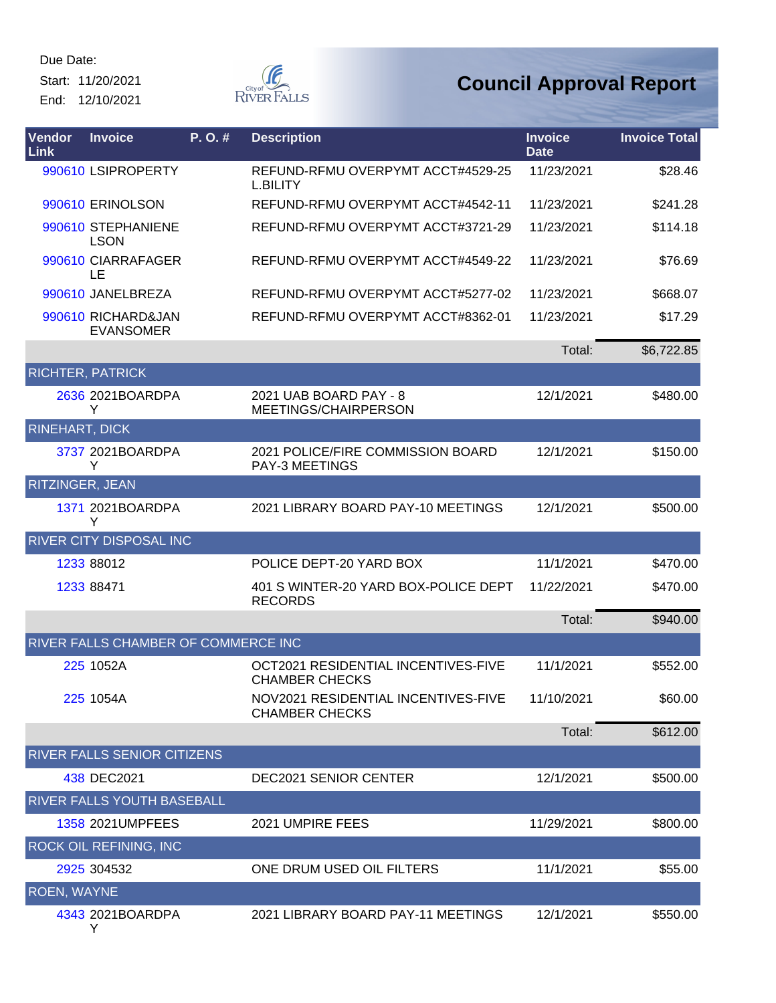Start: 11/20/2021 End: 12/10/2021



## **Council Approval Report**

| Vendor<br>Link        | <b>Invoice</b>                         | P.O.# | <b>Description</b>                                           | <b>Invoice</b><br><b>Date</b> | <b>Invoice Total</b> |
|-----------------------|----------------------------------------|-------|--------------------------------------------------------------|-------------------------------|----------------------|
|                       | 990610 LSIPROPERTY                     |       | REFUND-RFMU OVERPYMT ACCT#4529-25<br><b>L.BILITY</b>         | 11/23/2021                    | \$28.46              |
|                       | 990610 ERINOLSON                       |       | REFUND-RFMU OVERPYMT ACCT#4542-11                            | 11/23/2021                    | \$241.28             |
|                       | 990610 STEPHANIENE<br><b>LSON</b>      |       | REFUND-RFMU OVERPYMT ACCT#3721-29                            | 11/23/2021                    | \$114.18             |
|                       | 990610 CIARRAFAGER<br>LE               |       | REFUND-RFMU OVERPYMT ACCT#4549-22                            | 11/23/2021                    | \$76.69              |
|                       | 990610 JANELBREZA                      |       | REFUND-RFMU OVERPYMT ACCT#5277-02                            | 11/23/2021                    | \$668.07             |
|                       | 990610 RICHARD&JAN<br><b>EVANSOMER</b> |       | REFUND-RFMU OVERPYMT ACCT#8362-01                            | 11/23/2021                    | \$17.29              |
|                       |                                        |       |                                                              | Total:                        | \$6,722.85           |
|                       | <b>RICHTER, PATRICK</b>                |       |                                                              |                               |                      |
|                       | 2636 2021BOARDPA<br>Y                  |       | 2021 UAB BOARD PAY - 8<br>MEETINGS/CHAIRPERSON               | 12/1/2021                     | \$480.00             |
| <b>RINEHART, DICK</b> |                                        |       |                                                              |                               |                      |
|                       | 3737 2021BOARDPA<br>Y                  |       | 2021 POLICE/FIRE COMMISSION BOARD<br><b>PAY-3 MEETINGS</b>   | 12/1/2021                     | \$150.00             |
| RITZINGER, JEAN       |                                        |       |                                                              |                               |                      |
|                       | 1371 2021BOARDPA<br>Y                  |       | 2021 LIBRARY BOARD PAY-10 MEETINGS                           | 12/1/2021                     | \$500.00             |
|                       | RIVER CITY DISPOSAL INC                |       |                                                              |                               |                      |
|                       | 1233 88012                             |       | POLICE DEPT-20 YARD BOX                                      | 11/1/2021                     | \$470.00             |
|                       | 1233 88471                             |       | 401 S WINTER-20 YARD BOX-POLICE DEPT<br><b>RECORDS</b>       | 11/22/2021                    | \$470.00             |
|                       |                                        |       |                                                              | Total:                        | \$940.00             |
|                       | RIVER FALLS CHAMBER OF COMMERCE INC    |       |                                                              |                               |                      |
|                       | 225 1052A                              |       | OCT2021 RESIDENTIAL INCENTIVES-FIVE<br><b>CHAMBER CHECKS</b> | 11/1/2021                     | \$552.00             |
|                       | 225 1054A                              |       | NOV2021 RESIDENTIAL INCENTIVES-FIVE<br><b>CHAMBER CHECKS</b> | 11/10/2021                    | \$60.00              |
|                       |                                        |       |                                                              | Total:                        | \$612.00             |
|                       | RIVER FALLS SENIOR CITIZENS            |       |                                                              |                               |                      |
|                       | 438 DEC2021                            |       | <b>DEC2021 SENIOR CENTER</b>                                 | 12/1/2021                     | \$500.00             |
|                       | RIVER FALLS YOUTH BASEBALL             |       |                                                              |                               |                      |
|                       | 1358 2021 UMPFEES                      |       | 2021 UMPIRE FEES                                             | 11/29/2021                    | \$800.00             |
|                       | <b>ROCK OIL REFINING, INC</b>          |       |                                                              |                               |                      |
|                       | 2925 304532                            |       | ONE DRUM USED OIL FILTERS                                    | 11/1/2021                     | \$55.00              |
| <b>ROEN, WAYNE</b>    |                                        |       |                                                              |                               |                      |
|                       | 4343 2021BOARDPA                       |       | 2021 LIBRARY BOARD PAY-11 MEETINGS                           | 12/1/2021                     | \$550.00             |

 $\overline{Y}$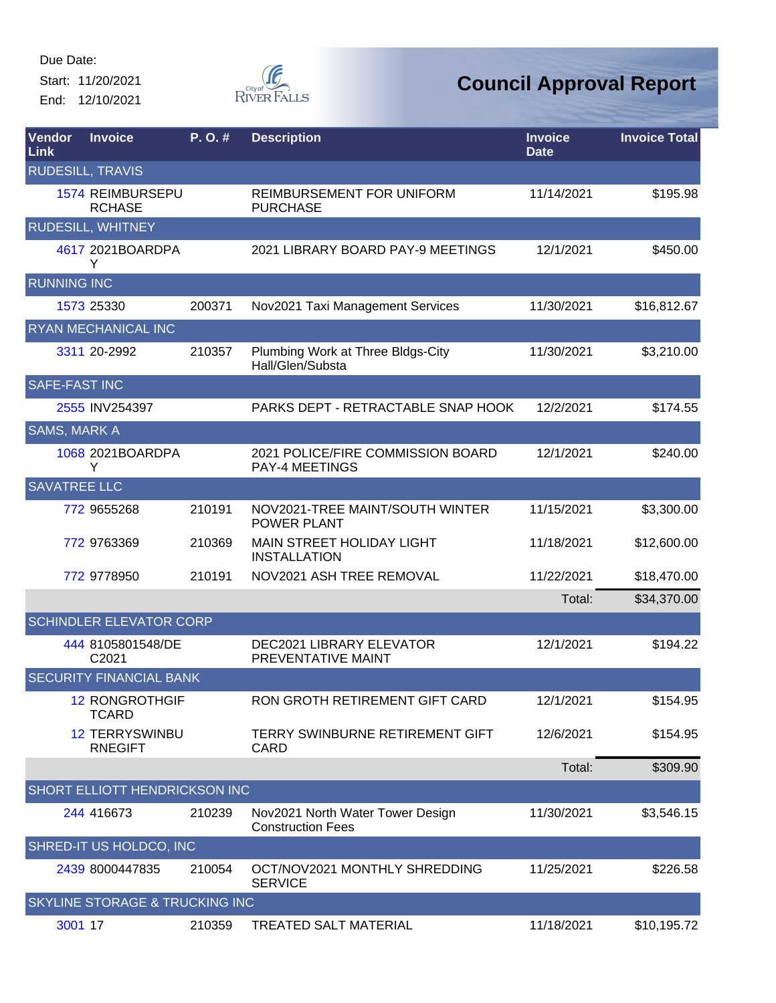Start: 11/20/2021 End: 12/10/2021



| Vendor<br>Link       | <b>Invoice</b>                           | $P. O.$ # | <b>Description</b>                                           | <b>Invoice</b><br><b>Date</b> | <b>Invoice Total</b> |
|----------------------|------------------------------------------|-----------|--------------------------------------------------------------|-------------------------------|----------------------|
|                      | <b>RUDESILL, TRAVIS</b>                  |           |                                                              |                               |                      |
|                      | <b>1574 REIMBURSEPU</b><br><b>RCHASE</b> |           | REIMBURSEMENT FOR UNIFORM<br><b>PURCHASE</b>                 | 11/14/2021                    | \$195.98             |
|                      | <b>RUDESILL, WHITNEY</b>                 |           |                                                              |                               |                      |
|                      | 4617 2021BOARDPA<br>Y                    |           | 2021 LIBRARY BOARD PAY-9 MEETINGS                            | 12/1/2021                     | \$450.00             |
| <b>RUNNING INC</b>   |                                          |           |                                                              |                               |                      |
|                      | 1573 25330                               | 200371    | Nov2021 Taxi Management Services                             | 11/30/2021                    | \$16,812.67          |
|                      | <b>RYAN MECHANICAL INC</b>               |           |                                                              |                               |                      |
|                      | 3311 20-2992                             | 210357    | Plumbing Work at Three Bldgs-City<br>Hall/Glen/Substa        | 11/30/2021                    | \$3,210.00           |
| <b>SAFE-FAST INC</b> |                                          |           |                                                              |                               |                      |
|                      | 2555 INV254397                           |           | PARKS DEPT - RETRACTABLE SNAP HOOK                           | 12/2/2021                     | \$174.55             |
| <b>SAMS, MARK A</b>  |                                          |           |                                                              |                               |                      |
|                      | 1068 2021BOARDPA<br>Υ                    |           | 2021 POLICE/FIRE COMMISSION BOARD<br><b>PAY-4 MEETINGS</b>   | 12/1/2021                     | \$240.00             |
| <b>SAVATREE LLC</b>  |                                          |           |                                                              |                               |                      |
|                      | 772 9655268                              | 210191    | NOV2021-TREE MAINT/SOUTH WINTER<br>POWER PLANT               | 11/15/2021                    | \$3,300.00           |
|                      | 772 9763369                              | 210369    | MAIN STREET HOLIDAY LIGHT<br><b>INSTALLATION</b>             | 11/18/2021                    | \$12,600.00          |
|                      | 772 9778950                              | 210191    | NOV2021 ASH TREE REMOVAL                                     | 11/22/2021                    | \$18,470.00          |
|                      |                                          |           |                                                              | Total:                        | \$34,370.00          |
|                      | <b>SCHINDLER ELEVATOR CORP</b>           |           |                                                              |                               |                      |
|                      | 444 8105801548/DE<br>C2021               |           | <b>DEC2021 LIBRARY ELEVATOR</b><br>PREVENTATIVE MAINT        | 12/1/2021                     | \$194.22             |
|                      | <b>SECURITY FINANCIAL BANK</b>           |           |                                                              |                               |                      |
|                      | <b>12 RONGROTHGIF</b><br><b>TCARD</b>    |           | RON GROTH RETIREMENT GIFT CARD                               | 12/1/2021                     | \$154.95             |
|                      | <b>12 TERRYSWINBU</b><br><b>RNEGIFT</b>  |           | TERRY SWINBURNE RETIREMENT GIFT<br>CARD                      | 12/6/2021                     | \$154.95             |
|                      |                                          |           |                                                              | Total:                        | \$309.90             |
|                      | SHORT ELLIOTT HENDRICKSON INC            |           |                                                              |                               |                      |
|                      | 244 416673                               | 210239    | Nov2021 North Water Tower Design<br><b>Construction Fees</b> | 11/30/2021                    | \$3,546.15           |
|                      | SHRED-IT US HOLDCO, INC                  |           |                                                              |                               |                      |
|                      | 2439 8000447835                          | 210054    | OCT/NOV2021 MONTHLY SHREDDING<br><b>SERVICE</b>              | 11/25/2021                    | \$226.58             |
|                      | SKYLINE STORAGE & TRUCKING INC           |           |                                                              |                               |                      |
| 3001 17              |                                          | 210359    | <b>TREATED SALT MATERIAL</b>                                 | 11/18/2021                    | \$10,195.72          |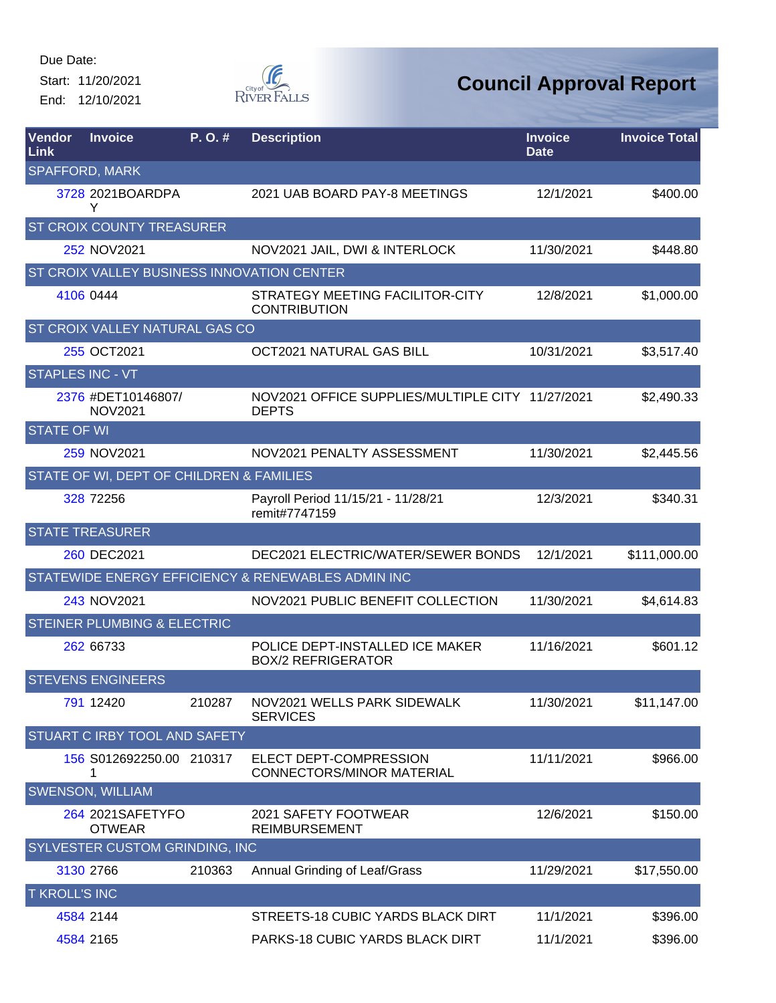Start: 11/20/2021 End: 12/10/2021



| <b>Vendor</b><br><b>Link</b> | <b>Invoice</b>                           | P. O. # | <b>Description</b>                                               | <b>Invoice</b><br><b>Date</b> | <b>Invoice Total</b> |
|------------------------------|------------------------------------------|---------|------------------------------------------------------------------|-------------------------------|----------------------|
|                              | <b>SPAFFORD, MARK</b>                    |         |                                                                  |                               |                      |
|                              | 3728 2021BOARDPA<br>Y                    |         | 2021 UAB BOARD PAY-8 MEETINGS                                    | 12/1/2021                     | \$400.00             |
|                              | ST CROIX COUNTY TREASURER                |         |                                                                  |                               |                      |
|                              | 252 NOV2021                              |         | NOV2021 JAIL, DWI & INTERLOCK                                    | 11/30/2021                    | \$448.80             |
|                              |                                          |         | ST CROIX VALLEY BUSINESS INNOVATION CENTER                       |                               |                      |
|                              | 4106 0444                                |         | STRATEGY MEETING FACILITOR-CITY<br><b>CONTRIBUTION</b>           | 12/8/2021                     | \$1,000.00           |
|                              | ST CROIX VALLEY NATURAL GAS CO           |         |                                                                  |                               |                      |
|                              | 255 OCT2021                              |         | OCT2021 NATURAL GAS BILL                                         | 10/31/2021                    | \$3,517.40           |
| <b>STAPLES INC - VT</b>      |                                          |         |                                                                  |                               |                      |
|                              | 2376 #DET10146807/<br><b>NOV2021</b>     |         | NOV2021 OFFICE SUPPLIES/MULTIPLE CITY 11/27/2021<br><b>DEPTS</b> |                               | \$2,490.33           |
| <b>STATE OF WI</b>           |                                          |         |                                                                  |                               |                      |
|                              | 259 NOV2021                              |         | NOV2021 PENALTY ASSESSMENT                                       | 11/30/2021                    | \$2,445.56           |
|                              | STATE OF WI, DEPT OF CHILDREN & FAMILIES |         |                                                                  |                               |                      |
|                              | 328 72256                                |         | Payroll Period 11/15/21 - 11/28/21<br>remit#7747159              | 12/3/2021                     | \$340.31             |
|                              | <b>STATE TREASURER</b>                   |         |                                                                  |                               |                      |
|                              | 260 DEC2021                              |         | DEC2021 ELECTRIC/WATER/SEWER BONDS                               | 12/1/2021                     | \$111,000.00         |
|                              |                                          |         | STATEWIDE ENERGY EFFICIENCY & RENEWABLES ADMIN INC               |                               |                      |
|                              | 243 NOV2021                              |         | NOV2021 PUBLIC BENEFIT COLLECTION                                | 11/30/2021                    | \$4,614.83           |
|                              | <b>STEINER PLUMBING &amp; ELECTRIC</b>   |         |                                                                  |                               |                      |
|                              | 262 66733                                |         | POLICE DEPT-INSTALLED ICE MAKER<br><b>BOX/2 REFRIGERATOR</b>     | 11/16/2021                    | \$601.12             |
|                              | <b>STEVENS ENGINEERS</b>                 |         |                                                                  |                               |                      |
|                              | 791 12420                                | 210287  | NOV2021 WELLS PARK SIDEWALK<br><b>SERVICES</b>                   | 11/30/2021                    | \$11,147.00          |
|                              | STUART C IRBY TOOL AND SAFETY            |         |                                                                  |                               |                      |
|                              | 156 S012692250.00 210317<br>1            |         | ELECT DEPT-COMPRESSION<br><b>CONNECTORS/MINOR MATERIAL</b>       | 11/11/2021                    | \$966.00             |
|                              | <b>SWENSON, WILLIAM</b>                  |         |                                                                  |                               |                      |
|                              | 264 2021SAFETYFO<br><b>OTWEAR</b>        |         | 2021 SAFETY FOOTWEAR<br><b>REIMBURSEMENT</b>                     | 12/6/2021                     | \$150.00             |
|                              | SYLVESTER CUSTOM GRINDING, INC.          |         |                                                                  |                               |                      |
|                              | 3130 2766                                | 210363  | Annual Grinding of Leaf/Grass                                    | 11/29/2021                    | \$17,550.00          |
| <b>T KROLL'S INC</b>         |                                          |         |                                                                  |                               |                      |
|                              | 4584 2144                                |         | STREETS-18 CUBIC YARDS BLACK DIRT                                | 11/1/2021                     | \$396.00             |
|                              | 4584 2165                                |         | PARKS-18 CUBIC YARDS BLACK DIRT                                  | 11/1/2021                     | \$396.00             |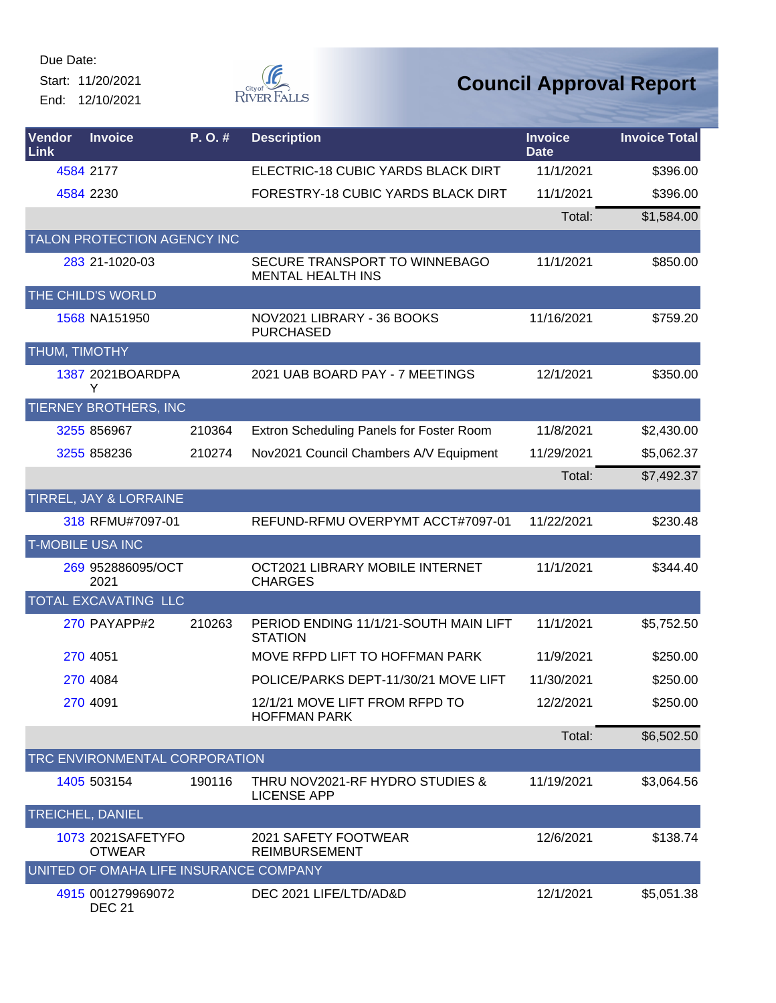Start: 11/20/2021 End: 12/10/2021



| Vendor<br>Link                | <b>Invoice</b>                         | P.O.#  | <b>Description</b>                                        | <b>Invoice</b><br><b>Date</b> | <b>Invoice Total</b> |  |  |
|-------------------------------|----------------------------------------|--------|-----------------------------------------------------------|-------------------------------|----------------------|--|--|
|                               | 4584 2177                              |        | ELECTRIC-18 CUBIC YARDS BLACK DIRT                        | 11/1/2021                     | \$396.00             |  |  |
|                               | 4584 2230                              |        | FORESTRY-18 CUBIC YARDS BLACK DIRT                        | 11/1/2021                     | \$396.00             |  |  |
|                               |                                        |        |                                                           | Total:                        | \$1,584.00           |  |  |
|                               | TALON PROTECTION AGENCY INC            |        |                                                           |                               |                      |  |  |
|                               | 283 21-1020-03                         |        | SECURE TRANSPORT TO WINNEBAGO<br><b>MENTAL HEALTH INS</b> | 11/1/2021                     | \$850.00             |  |  |
|                               | THE CHILD'S WORLD                      |        |                                                           |                               |                      |  |  |
|                               | 1568 NA151950                          |        | NOV2021 LIBRARY - 36 BOOKS<br><b>PURCHASED</b>            | 11/16/2021                    | \$759.20             |  |  |
| THUM, TIMOTHY                 |                                        |        |                                                           |                               |                      |  |  |
|                               | 1387 2021BOARDPA<br>Y                  |        | 2021 UAB BOARD PAY - 7 MEETINGS                           | 12/1/2021                     | \$350.00             |  |  |
|                               | TIERNEY BROTHERS, INC                  |        |                                                           |                               |                      |  |  |
|                               | 3255 856967                            | 210364 | Extron Scheduling Panels for Foster Room                  | 11/8/2021                     | \$2,430.00           |  |  |
|                               | 3255 858236                            | 210274 | Nov2021 Council Chambers A/V Equipment                    | 11/29/2021                    | \$5,062.37           |  |  |
|                               |                                        |        |                                                           | Total:                        | \$7,492.37           |  |  |
|                               | TIRREL, JAY & LORRAINE                 |        |                                                           |                               |                      |  |  |
|                               | 318 RFMU#7097-01                       |        | REFUND-RFMU OVERPYMT ACCT#7097-01                         | 11/22/2021                    | \$230.48             |  |  |
|                               | <b>T-MOBILE USA INC</b>                |        |                                                           |                               |                      |  |  |
|                               | 269 952886095/OCT<br>2021              |        | OCT2021 LIBRARY MOBILE INTERNET<br><b>CHARGES</b>         | 11/1/2021                     | \$344.40             |  |  |
|                               | TOTAL EXCAVATING LLC                   |        |                                                           |                               |                      |  |  |
|                               | 270 PAYAPP#2                           | 210263 | PERIOD ENDING 11/1/21-SOUTH MAIN LIFT<br><b>STATION</b>   | 11/1/2021                     | \$5,752.50           |  |  |
|                               | 270 4051                               |        | MOVE RFPD LIFT TO HOFFMAN PARK                            | 11/9/2021                     | \$250.00             |  |  |
|                               | 270 4084                               |        | POLICE/PARKS DEPT-11/30/21 MOVE LIFT                      | 11/30/2021                    | \$250.00             |  |  |
|                               | 270 4091                               |        | 12/1/21 MOVE LIFT FROM RFPD TO<br><b>HOFFMAN PARK</b>     | 12/2/2021                     | \$250.00             |  |  |
|                               |                                        |        |                                                           | Total:                        | \$6,502.50           |  |  |
| TRC ENVIRONMENTAL CORPORATION |                                        |        |                                                           |                               |                      |  |  |
|                               | 1405 503154                            | 190116 | THRU NOV2021-RF HYDRO STUDIES &<br><b>LICENSE APP</b>     | 11/19/2021                    | \$3,064.56           |  |  |
|                               | TREICHEL, DANIEL                       |        |                                                           |                               |                      |  |  |
|                               | 1073 2021SAFETYFO<br><b>OTWEAR</b>     |        | 2021 SAFETY FOOTWEAR<br><b>REIMBURSEMENT</b>              | 12/6/2021                     | \$138.74             |  |  |
|                               | UNITED OF OMAHA LIFE INSURANCE COMPANY |        |                                                           |                               |                      |  |  |
|                               | 4915 001279969072<br><b>DEC 21</b>     |        | DEC 2021 LIFE/LTD/AD&D                                    | 12/1/2021                     | \$5,051.38           |  |  |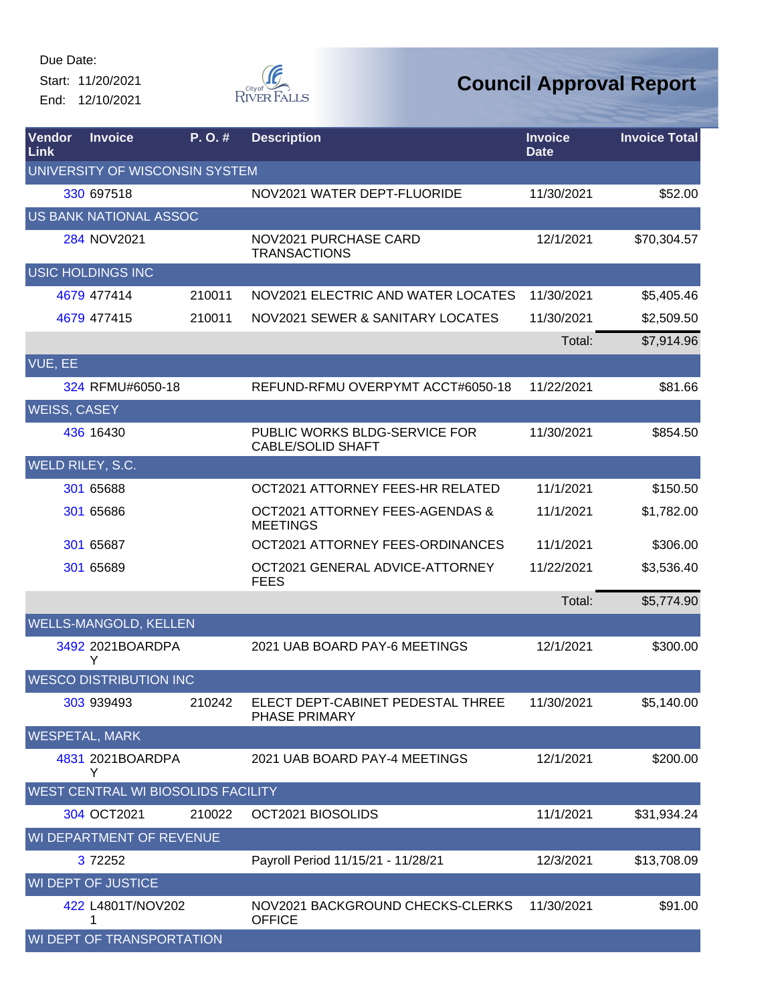Start: 11/20/2021 End: 12/10/2021



| Vendor<br>Link                 | <b>Invoice</b>                     | P.O.#  | <b>Description</b>                                        | <b>Invoice</b><br><b>Date</b> | <b>Invoice Total</b> |  |
|--------------------------------|------------------------------------|--------|-----------------------------------------------------------|-------------------------------|----------------------|--|
| UNIVERSITY OF WISCONSIN SYSTEM |                                    |        |                                                           |                               |                      |  |
|                                | 330 697518                         |        | NOV2021 WATER DEPT-FLUORIDE                               | 11/30/2021                    | \$52.00              |  |
|                                | <b>US BANK NATIONAL ASSOC</b>      |        |                                                           |                               |                      |  |
|                                | 284 NOV2021                        |        | NOV2021 PURCHASE CARD<br><b>TRANSACTIONS</b>              | 12/1/2021                     | \$70,304.57          |  |
|                                | <b>USIC HOLDINGS INC</b>           |        |                                                           |                               |                      |  |
|                                | 4679 477414                        | 210011 | NOV2021 ELECTRIC AND WATER LOCATES                        | 11/30/2021                    | \$5,405.46           |  |
|                                | 4679 477415                        | 210011 | NOV2021 SEWER & SANITARY LOCATES                          | 11/30/2021                    | \$2,509.50           |  |
|                                |                                    |        |                                                           | Total:                        | \$7,914.96           |  |
| VUE, EE                        |                                    |        |                                                           |                               |                      |  |
|                                | 324 RFMU#6050-18                   |        | REFUND-RFMU OVERPYMT ACCT#6050-18                         | 11/22/2021                    | \$81.66              |  |
| <b>WEISS, CASEY</b>            |                                    |        |                                                           |                               |                      |  |
|                                | 436 16430                          |        | PUBLIC WORKS BLDG-SERVICE FOR<br><b>CABLE/SOLID SHAFT</b> | 11/30/2021                    | \$854.50             |  |
| WELD RILEY, S.C.               |                                    |        |                                                           |                               |                      |  |
|                                | 301 65688                          |        | OCT2021 ATTORNEY FEES-HR RELATED                          | 11/1/2021                     | \$150.50             |  |
|                                | 301 65686                          |        | OCT2021 ATTORNEY FEES-AGENDAS &<br><b>MEETINGS</b>        | 11/1/2021                     | \$1,782.00           |  |
|                                | 301 65687                          |        | OCT2021 ATTORNEY FEES-ORDINANCES                          | 11/1/2021                     | \$306.00             |  |
|                                | 301 65689                          |        | OCT2021 GENERAL ADVICE-ATTORNEY<br><b>FEES</b>            | 11/22/2021                    | \$3,536.40           |  |
|                                |                                    |        |                                                           | Total:                        | \$5,774.90           |  |
|                                | WELLS-MANGOLD, KELLEN              |        |                                                           |                               |                      |  |
|                                | 3492 2021BOARDPA<br>Y              |        | 2021 UAB BOARD PAY-6 MEETINGS                             | 12/1/2021                     | \$300.00             |  |
|                                | <b>WESCO DISTRIBUTION INC</b>      |        |                                                           |                               |                      |  |
|                                | 303 939493                         | 210242 | ELECT DEPT-CABINET PEDESTAL THREE<br>PHASE PRIMARY        | 11/30/2021                    | \$5,140.00           |  |
|                                | <b>WESPETAL, MARK</b>              |        |                                                           |                               |                      |  |
|                                | 4831 2021BOARDPA<br>Y              |        | 2021 UAB BOARD PAY-4 MEETINGS                             | 12/1/2021                     | \$200.00             |  |
|                                | WEST CENTRAL WI BIOSOLIDS FACILITY |        |                                                           |                               |                      |  |
|                                | 304 OCT2021                        | 210022 | OCT2021 BIOSOLIDS                                         | 11/1/2021                     | \$31,934.24          |  |
|                                | WI DEPARTMENT OF REVENUE           |        |                                                           |                               |                      |  |
|                                | 3 72252                            |        | Payroll Period 11/15/21 - 11/28/21                        | 12/3/2021                     | \$13,708.09          |  |
|                                | WI DEPT OF JUSTICE                 |        |                                                           |                               |                      |  |
|                                | 422 L4801T/NOV202<br>1             |        | NOV2021 BACKGROUND CHECKS-CLERKS<br><b>OFFICE</b>         | 11/30/2021                    | \$91.00              |  |
|                                | WI DEPT OF TRANSPORTATION          |        |                                                           |                               |                      |  |